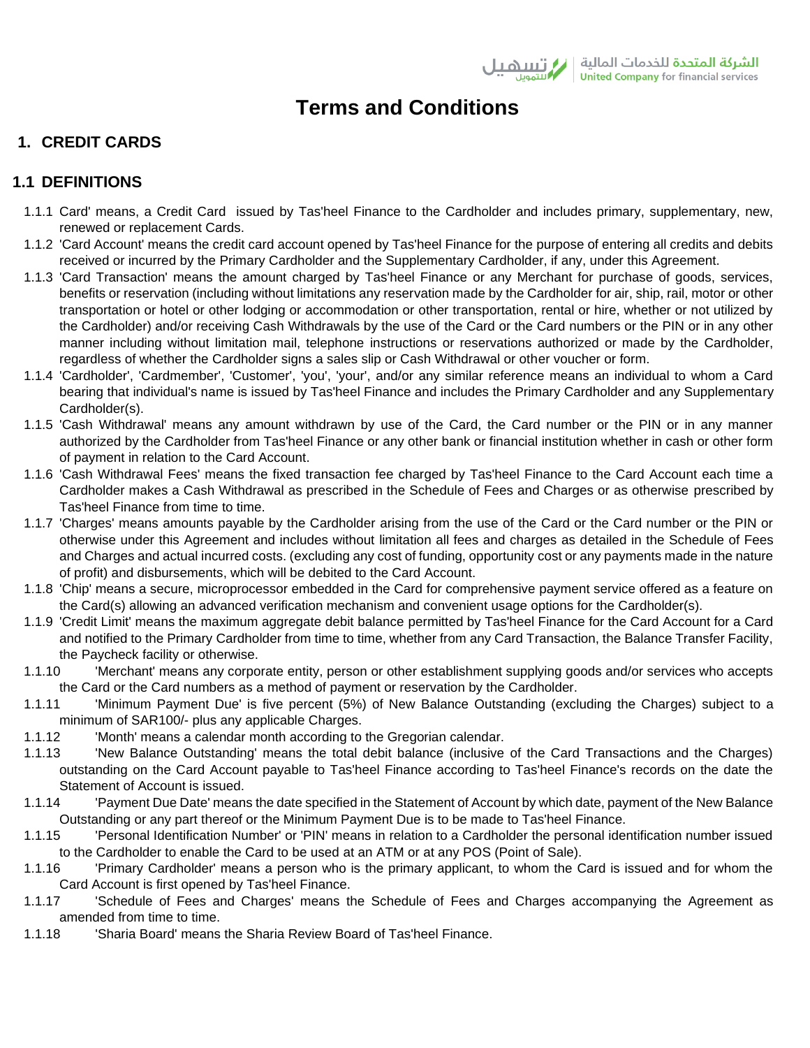# **Terms and Conditions**

# **1. CREDIT CARDS**

# **1.1 DEFINITIONS**

- 1.1.1 Card' means, a Credit Card issued by Tas'heel Finance to the Cardholder and includes primary, supplementary, new, renewed or replacement Cards.
- 1.1.2 'Card Account' means the credit card account opened by Tas'heel Finance for the purpose of entering all credits and debits received or incurred by the Primary Cardholder and the Supplementary Cardholder, if any, under this Agreement.
- 1.1.3 'Card Transaction' means the amount charged by Tas'heel Finance or any Merchant for purchase of goods, services, benefits or reservation (including without limitations any reservation made by the Cardholder for air, ship, rail, motor or other transportation or hotel or other lodging or accommodation or other transportation, rental or hire, whether or not utilized by the Cardholder) and/or receiving Cash Withdrawals by the use of the Card or the Card numbers or the PIN or in any other manner including without limitation mail, telephone instructions or reservations authorized or made by the Cardholder, regardless of whether the Cardholder signs a sales slip or Cash Withdrawal or other voucher or form.
- 1.1.4 'Cardholder', 'Cardmember', 'Customer', 'you', 'your', and/or any similar reference means an individual to whom a Card bearing that individual's name is issued by Tas'heel Finance and includes the Primary Cardholder and any Supplementary Cardholder(s).
- 1.1.5 'Cash Withdrawal' means any amount withdrawn by use of the Card, the Card number or the PIN or in any manner authorized by the Cardholder from Tas'heel Finance or any other bank or financial institution whether in cash or other form of payment in relation to the Card Account.
- 1.1.6 'Cash Withdrawal Fees' means the fixed transaction fee charged by Tas'heel Finance to the Card Account each time a Cardholder makes a Cash Withdrawal as prescribed in the Schedule of Fees and Charges or as otherwise prescribed by Tas'heel Finance from time to time.
- 1.1.7 'Charges' means amounts payable by the Cardholder arising from the use of the Card or the Card number or the PIN or otherwise under this Agreement and includes without limitation all fees and charges as detailed in the Schedule of Fees and Charges and actual incurred costs. (excluding any cost of funding, opportunity cost or any payments made in the nature of profit) and disbursements, which will be debited to the Card Account.
- 1.1.8 'Chip' means a secure, microprocessor embedded in the Card for comprehensive payment service offered as a feature on the Card(s) allowing an advanced verification mechanism and convenient usage options for the Cardholder(s).
- 1.1.9 'Credit Limit' means the maximum aggregate debit balance permitted by Tas'heel Finance for the Card Account for a Card and notified to the Primary Cardholder from time to time, whether from any Card Transaction, the Balance Transfer Facility, the Paycheck facility or otherwise.
- 1.1.10 'Merchant' means any corporate entity, person or other establishment supplying goods and/or services who accepts the Card or the Card numbers as a method of payment or reservation by the Cardholder.
- 1.1.11 'Minimum Payment Due' is five percent (5%) of New Balance Outstanding (excluding the Charges) subject to a minimum of SAR100/- plus any applicable Charges.
- 1.1.12 'Month' means a calendar month according to the Gregorian calendar.
- 1.1.13 'New Balance Outstanding' means the total debit balance (inclusive of the Card Transactions and the Charges) outstanding on the Card Account payable to Tas'heel Finance according to Tas'heel Finance's records on the date the Statement of Account is issued.
- 1.1.14 'Payment Due Date' means the date specified in the Statement of Account by which date, payment of the New Balance Outstanding or any part thereof or the Minimum Payment Due is to be made to Tas'heel Finance.
- 1.1.15 'Personal Identification Number' or 'PIN' means in relation to a Cardholder the personal identification number issued to the Cardholder to enable the Card to be used at an ATM or at any POS (Point of Sale).
- 1.1.16 'Primary Cardholder' means a person who is the primary applicant, to whom the Card is issued and for whom the Card Account is first opened by Tas'heel Finance.
- 1.1.17 'Schedule of Fees and Charges' means the Schedule of Fees and Charges accompanying the Agreement as amended from time to time.
- 1.1.18 'Sharia Board' means the Sharia Review Board of Tas'heel Finance.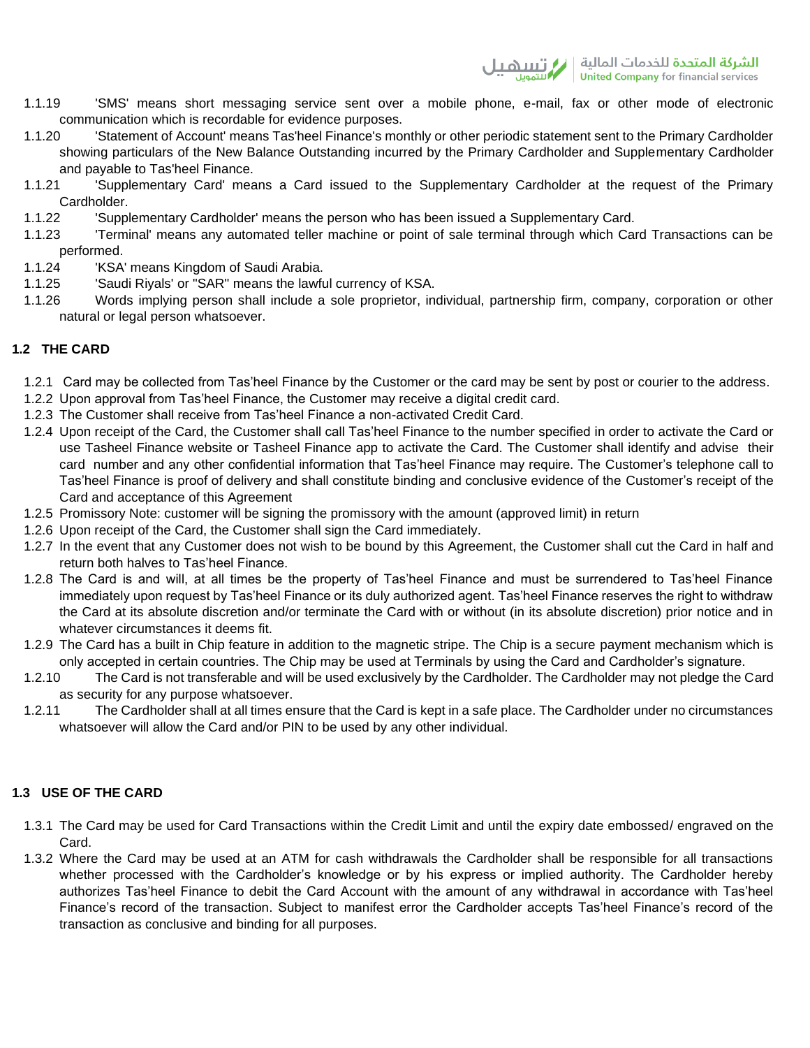- 1.1.19 'SMS' means short messaging service sent over a mobile phone, e-mail, fax or other mode of electronic communication which is recordable for evidence purposes.
- 1.1.20 'Statement of Account' means Tas'heel Finance's monthly or other periodic statement sent to the Primary Cardholder showing particulars of the New Balance Outstanding incurred by the Primary Cardholder and Supplementary Cardholder and payable to Tas'heel Finance.
- 1.1.21 'Supplementary Card' means a Card issued to the Supplementary Cardholder at the request of the Primary Cardholder.
- 1.1.22 'Supplementary Cardholder' means the person who has been issued a Supplementary Card.
- 1.1.23 'Terminal' means any automated teller machine or point of sale terminal through which Card Transactions can be performed.
- 1.1.24 'KSA' means Kingdom of Saudi Arabia.
- 1.1.25 'Saudi Riyals' or "SAR" means the lawful currency of KSA.
- 1.1.26 Words implying person shall include a sole proprietor, individual, partnership firm, company, corporation or other natural or legal person whatsoever.

# **1.2 THE CARD**

- 1.2.1 Card may be collected from Tas'heel Finance by the Customer or the card may be sent by post or courier to the address.
- 1.2.2 Upon approval from Tas'heel Finance, the Customer may receive a digital credit card.
- 1.2.3 The Customer shall receive from Tas'heel Finance a non-activated Credit Card.
- 1.2.4 Upon receipt of the Card, the Customer shall call Tas'heel Finance to the number specified in order to activate the Card or use Tasheel Finance website or Tasheel Finance app to activate the Card. The Customer shall identify and advise their card number and any other confidential information that Tas'heel Finance may require. The Customer's telephone call to Tas'heel Finance is proof of delivery and shall constitute binding and conclusive evidence of the Customer's receipt of the Card and acceptance of this Agreement
- 1.2.5 Promissory Note: customer will be signing the promissory with the amount (approved limit) in return
- 1.2.6 Upon receipt of the Card, the Customer shall sign the Card immediately.
- 1.2.7 In the event that any Customer does not wish to be bound by this Agreement, the Customer shall cut the Card in half and return both halves to Tas'heel Finance.
- 1.2.8 The Card is and will, at all times be the property of Tas'heel Finance and must be surrendered to Tas'heel Finance immediately upon request by Tas'heel Finance or its duly authorized agent. Tas'heel Finance reserves the right to withdraw the Card at its absolute discretion and/or terminate the Card with or without (in its absolute discretion) prior notice and in whatever circumstances it deems fit.
- 1.2.9 The Card has a built in Chip feature in addition to the magnetic stripe. The Chip is a secure payment mechanism which is only accepted in certain countries. The Chip may be used at Terminals by using the Card and Cardholder's signature.
- 1.2.10 The Card is not transferable and will be used exclusively by the Cardholder. The Cardholder may not pledge the Card as security for any purpose whatsoever.
- 1.2.11 The Cardholder shall at all times ensure that the Card is kept in a safe place. The Cardholder under no circumstances whatsoever will allow the Card and/or PIN to be used by any other individual.

# **1.3 USE OF THE CARD**

- 1.3.1 The Card may be used for Card Transactions within the Credit Limit and until the expiry date embossed/ engraved on the Card.
- 1.3.2 Where the Card may be used at an ATM for cash withdrawals the Cardholder shall be responsible for all transactions whether processed with the Cardholder's knowledge or by his express or implied authority. The Cardholder hereby authorizes Tas'heel Finance to debit the Card Account with the amount of any withdrawal in accordance with Tas'heel Finance's record of the transaction. Subject to manifest error the Cardholder accepts Tas'heel Finance's record of the transaction as conclusive and binding for all purposes.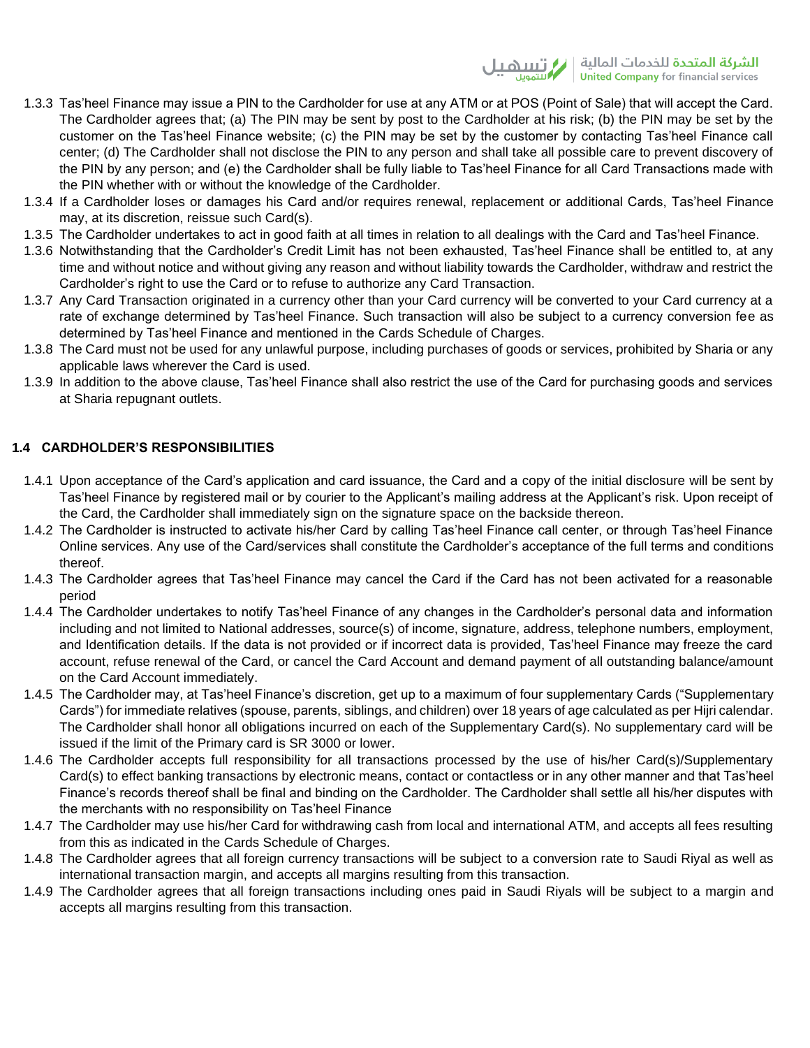- 1.3.3 Tas'heel Finance may issue a PIN to the Cardholder for use at any ATM or at POS (Point of Sale) that will accept the Card. The Cardholder agrees that; (a) The PIN may be sent by post to the Cardholder at his risk; (b) the PIN may be set by the customer on the Tas'heel Finance website; (c) the PIN may be set by the customer by contacting Tas'heel Finance call center; (d) The Cardholder shall not disclose the PIN to any person and shall take all possible care to prevent discovery of the PIN by any person; and (e) the Cardholder shall be fully liable to Tas'heel Finance for all Card Transactions made with the PIN whether with or without the knowledge of the Cardholder.
- 1.3.4 If a Cardholder loses or damages his Card and/or requires renewal, replacement or additional Cards, Tas'heel Finance may, at its discretion, reissue such Card(s).
- 1.3.5 The Cardholder undertakes to act in good faith at all times in relation to all dealings with the Card and Tas'heel Finance.
- 1.3.6 Notwithstanding that the Cardholder's Credit Limit has not been exhausted, Tas'heel Finance shall be entitled to, at any time and without notice and without giving any reason and without liability towards the Cardholder, withdraw and restrict the Cardholder's right to use the Card or to refuse to authorize any Card Transaction.
- 1.3.7 Any Card Transaction originated in a currency other than your Card currency will be converted to your Card currency at a rate of exchange determined by Tas'heel Finance. Such transaction will also be subject to a currency conversion fee as determined by Tas'heel Finance and mentioned in the Cards Schedule of Charges.
- 1.3.8 The Card must not be used for any unlawful purpose, including purchases of goods or services, prohibited by Sharia or any applicable laws wherever the Card is used.
- 1.3.9 In addition to the above clause, Tas'heel Finance shall also restrict the use of the Card for purchasing goods and services at Sharia repugnant outlets.

# **1.4 CARDHOLDER'S RESPONSIBILITIES**

- 1.4.1 Upon acceptance of the Card's application and card issuance, the Card and a copy of the initial disclosure will be sent by Tas'heel Finance by registered mail or by courier to the Applicant's mailing address at the Applicant's risk. Upon receipt of the Card, the Cardholder shall immediately sign on the signature space on the backside thereon.
- 1.4.2 The Cardholder is instructed to activate his/her Card by calling Tas'heel Finance call center, or through Tas'heel Finance Online services. Any use of the Card/services shall constitute the Cardholder's acceptance of the full terms and conditions thereof.
- 1.4.3 The Cardholder agrees that Tas'heel Finance may cancel the Card if the Card has not been activated for a reasonable period
- 1.4.4 The Cardholder undertakes to notify Tas'heel Finance of any changes in the Cardholder's personal data and information including and not limited to National addresses, source(s) of income, signature, address, telephone numbers, employment, and Identification details. If the data is not provided or if incorrect data is provided, Tas'heel Finance may freeze the card account, refuse renewal of the Card, or cancel the Card Account and demand payment of all outstanding balance/amount on the Card Account immediately.
- 1.4.5 The Cardholder may, at Tas'heel Finance's discretion, get up to a maximum of four supplementary Cards ("Supplementary Cards") for immediate relatives (spouse, parents, siblings, and children) over 18 years of age calculated as per Hijri calendar. The Cardholder shall honor all obligations incurred on each of the Supplementary Card(s). No supplementary card will be issued if the limit of the Primary card is SR 3000 or lower.
- 1.4.6 The Cardholder accepts full responsibility for all transactions processed by the use of his/her Card(s)/Supplementary Card(s) to effect banking transactions by electronic means, contact or contactless or in any other manner and that Tas'heel Finance's records thereof shall be final and binding on the Cardholder. The Cardholder shall settle all his/her disputes with the merchants with no responsibility on Tas'heel Finance
- 1.4.7 The Cardholder may use his/her Card for withdrawing cash from local and international ATM, and accepts all fees resulting from this as indicated in the Cards Schedule of Charges.
- 1.4.8 The Cardholder agrees that all foreign currency transactions will be subject to a conversion rate to Saudi Riyal as well as international transaction margin, and accepts all margins resulting from this transaction.
- 1.4.9 The Cardholder agrees that all foreign transactions including ones paid in Saudi Riyals will be subject to a margin and accepts all margins resulting from this transaction.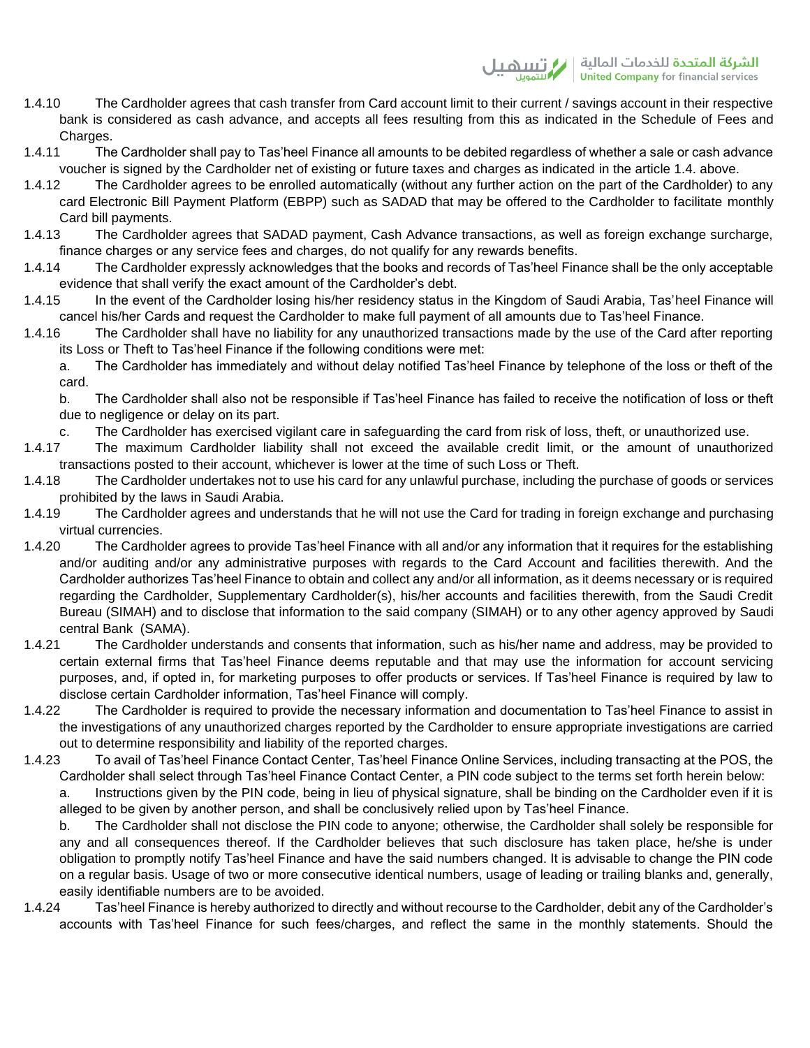- 1.4.10 The Cardholder agrees that cash transfer from Card account limit to their current / savings account in their respective bank is considered as cash advance, and accepts all fees resulting from this as indicated in the Schedule of Fees and Charges.
- 1.4.11 The Cardholder shall pay to Tas'heel Finance all amounts to be debited regardless of whether a sale or cash advance voucher is signed by the Cardholder net of existing or future taxes and charges as indicated in the article 1.4. above.
- 1.4.12 The Cardholder agrees to be enrolled automatically (without any further action on the part of the Cardholder) to any card Electronic Bill Payment Platform (EBPP) such as SADAD that may be offered to the Cardholder to facilitate monthly Card bill payments.
- 1.4.13 The Cardholder agrees that SADAD payment, Cash Advance transactions, as well as foreign exchange surcharge, finance charges or any service fees and charges, do not qualify for any rewards benefits.
- 1.4.14 The Cardholder expressly acknowledges that the books and records of Tas'heel Finance shall be the only acceptable evidence that shall verify the exact amount of the Cardholder's debt.
- 1.4.15 In the event of the Cardholder losing his/her residency status in the Kingdom of Saudi Arabia, Tas'heel Finance will cancel his/her Cards and request the Cardholder to make full payment of all amounts due to Tas'heel Finance.
- 1.4.16 The Cardholder shall have no liability for any unauthorized transactions made by the use of the Card after reporting its Loss or Theft to Tas'heel Finance if the following conditions were met:

a. The Cardholder has immediately and without delay notified Tas'heel Finance by telephone of the loss or theft of the card.

b. The Cardholder shall also not be responsible if Tas'heel Finance has failed to receive the notification of loss or theft due to negligence or delay on its part.

c. The Cardholder has exercised vigilant care in safeguarding the card from risk of loss, theft, or unauthorized use.

- 1.4.17 The maximum Cardholder liability shall not exceed the available credit limit, or the amount of unauthorized transactions posted to their account, whichever is lower at the time of such Loss or Theft.
- 1.4.18 The Cardholder undertakes not to use his card for any unlawful purchase, including the purchase of goods or services prohibited by the laws in Saudi Arabia.
- 1.4.19 The Cardholder agrees and understands that he will not use the Card for trading in foreign exchange and purchasing virtual currencies.
- 1.4.20 The Cardholder agrees to provide Tas'heel Finance with all and/or any information that it requires for the establishing and/or auditing and/or any administrative purposes with regards to the Card Account and facilities therewith. And the Cardholder authorizes Tas'heel Finance to obtain and collect any and/or all information, as it deems necessary or is required regarding the Cardholder, Supplementary Cardholder(s), his/her accounts and facilities therewith, from the Saudi Credit Bureau (SIMAH) and to disclose that information to the said company (SIMAH) or to any other agency approved by Saudi central Bank (SAMA).
- 1.4.21 The Cardholder understands and consents that information, such as his/her name and address, may be provided to certain external firms that Tas'heel Finance deems reputable and that may use the information for account servicing purposes, and, if opted in, for marketing purposes to offer products or services. If Tas'heel Finance is required by law to disclose certain Cardholder information, Tas'heel Finance will comply.
- 1.4.22 The Cardholder is required to provide the necessary information and documentation to Tas'heel Finance to assist in the investigations of any unauthorized charges reported by the Cardholder to ensure appropriate investigations are carried out to determine responsibility and liability of the reported charges.
- 1.4.23 To avail of Tas'heel Finance Contact Center, Tas'heel Finance Online Services, including transacting at the POS, the Cardholder shall select through Tas'heel Finance Contact Center, a PIN code subject to the terms set forth herein below:

a. Instructions given by the PIN code, being in lieu of physical signature, shall be binding on the Cardholder even if it is alleged to be given by another person, and shall be conclusively relied upon by Tas'heel Finance.

b. The Cardholder shall not disclose the PIN code to anyone; otherwise, the Cardholder shall solely be responsible for any and all consequences thereof. If the Cardholder believes that such disclosure has taken place, he/she is under obligation to promptly notify Tas'heel Finance and have the said numbers changed. It is advisable to change the PIN code on a regular basis. Usage of two or more consecutive identical numbers, usage of leading or trailing blanks and, generally, easily identifiable numbers are to be avoided.

1.4.24 Tas'heel Finance is hereby authorized to directly and without recourse to the Cardholder, debit any of the Cardholder's accounts with Tas'heel Finance for such fees/charges, and reflect the same in the monthly statements. Should the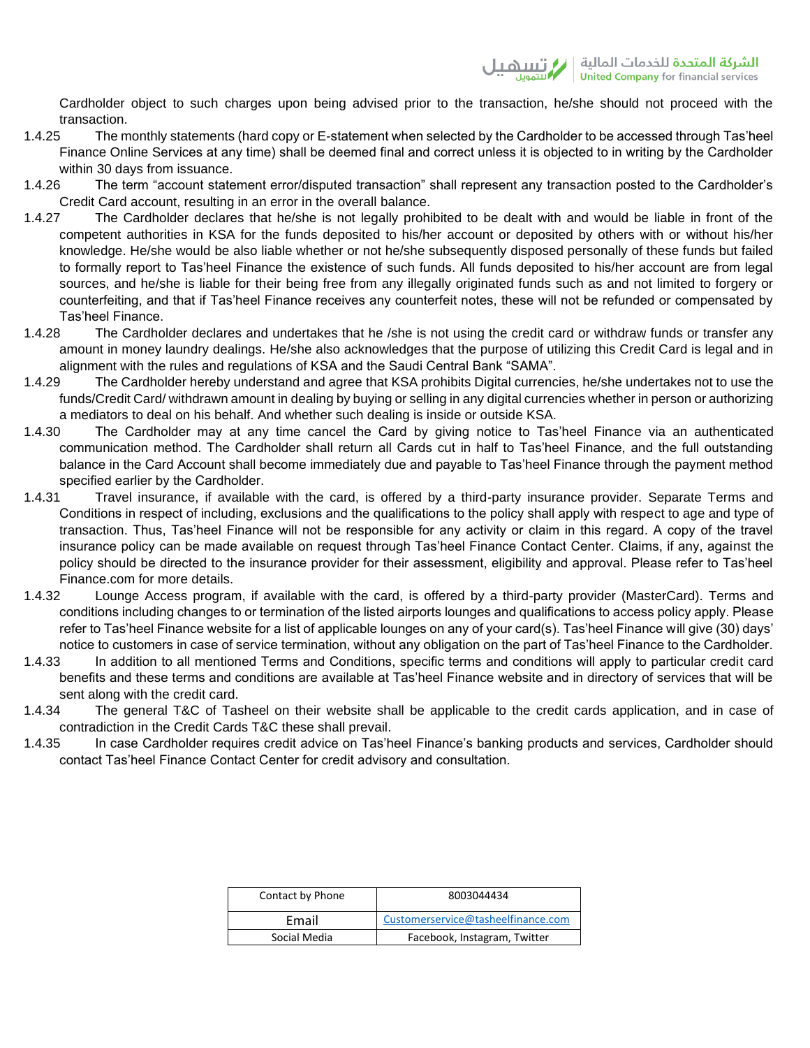Cardholder object to such charges upon being advised prior to the transaction, he/she should not proceed with the transaction.

- 1.4.25 The monthly statements (hard copy or E-statement when selected by the Cardholder to be accessed through Tas'heel Finance Online Services at any time) shall be deemed final and correct unless it is objected to in writing by the Cardholder within 30 days from issuance.
- 1.4.26 The term "account statement error/disputed transaction" shall represent any transaction posted to the Cardholder's Credit Card account, resulting in an error in the overall balance.
- 1.4.27 The Cardholder declares that he/she is not legally prohibited to be dealt with and would be liable in front of the competent authorities in KSA for the funds deposited to his/her account or deposited by others with or without his/her knowledge. He/she would be also liable whether or not he/she subsequently disposed personally of these funds but failed to formally report to Tas'heel Finance the existence of such funds. All funds deposited to his/her account are from legal sources, and he/she is liable for their being free from any illegally originated funds such as and not limited to forgery or counterfeiting, and that if Tas'heel Finance receives any counterfeit notes, these will not be refunded or compensated by Tas'heel Finance.
- 1.4.28 The Cardholder declares and undertakes that he /she is not using the credit card or withdraw funds or transfer any amount in money laundry dealings. He/she also acknowledges that the purpose of utilizing this Credit Card is legal and in alignment with the rules and regulations of KSA and the Saudi Central Bank "SAMA".
- 1.4.29 The Cardholder hereby understand and agree that KSA prohibits Digital currencies, he/she undertakes not to use the funds/Credit Card/ withdrawn amount in dealing by buying or selling in any digital currencies whether in person or authorizing a mediators to deal on his behalf. And whether such dealing is inside or outside KSA.
- 1.4.30 The Cardholder may at any time cancel the Card by giving notice to Tas'heel Finance via an authenticated communication method. The Cardholder shall return all Cards cut in half to Tas'heel Finance, and the full outstanding balance in the Card Account shall become immediately due and payable to Tas'heel Finance through the payment method specified earlier by the Cardholder.
- 1.4.31 Travel insurance, if available with the card, is offered by a third-party insurance provider. Separate Terms and Conditions in respect of including, exclusions and the qualifications to the policy shall apply with respect to age and type of transaction. Thus, Tas'heel Finance will not be responsible for any activity or claim in this regard. A copy of the travel insurance policy can be made available on request through Tas'heel Finance Contact Center. Claims, if any, against the policy should be directed to the insurance provider for their assessment, eligibility and approval. Please refer to Tas'heel Finance.com for more details.
- 1.4.32 Lounge Access program, if available with the card, is offered by a third-party provider (MasterCard). Terms and conditions including changes to or termination of the listed airports lounges and qualifications to access policy apply. Please refer to Tas'heel Finance website for a list of applicable lounges on any of your card(s). Tas'heel Finance will give (30) days' notice to customers in case of service termination, without any obligation on the part of Tas'heel Finance to the Cardholder.
- 1.4.33 In addition to all mentioned Terms and Conditions, specific terms and conditions will apply to particular credit card benefits and these terms and conditions are available at Tas'heel Finance website and in directory of services that will be sent along with the credit card.
- 1.4.34 The general T&C of Tasheel on their website shall be applicable to the credit cards application, and in case of contradiction in the Credit Cards T&C these shall prevail.
- 1.4.35 In case Cardholder requires credit advice on Tas'heel Finance's banking products and services, Cardholder should contact Tas'heel Finance Contact Center for credit advisory and consultation.

| Contact by Phone | 8003044434                         |
|------------------|------------------------------------|
| Email            | Customerservice@tasheelfinance.com |
| Social Media     | Facebook, Instagram, Twitter       |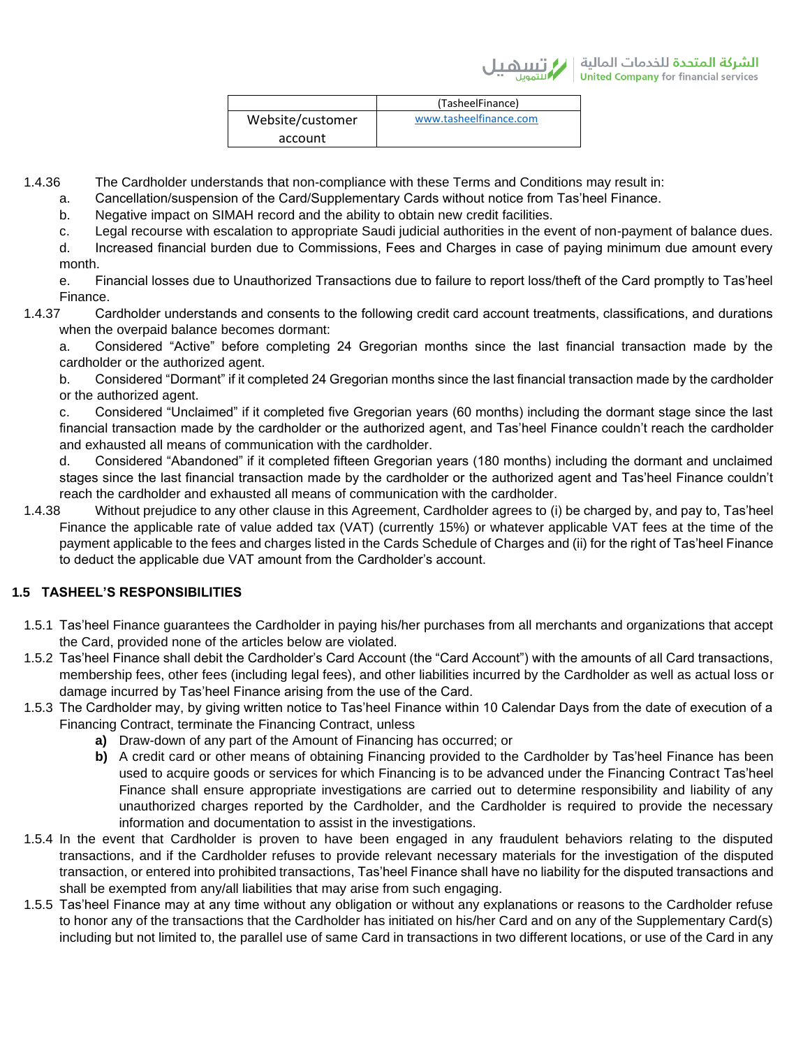|                  | (TasheelFinance)       |
|------------------|------------------------|
| Website/customer | www.tasheelfinance.com |
| account          |                        |

1.4.36 The Cardholder understands that non-compliance with these Terms and Conditions may result in:

- a. Cancellation/suspension of the Card/Supplementary Cards without notice from Tas'heel Finance.
- b. Negative impact on SIMAH record and the ability to obtain new credit facilities.
- c. Legal recourse with escalation to appropriate Saudi judicial authorities in the event of non-payment of balance dues.

d. Increased financial burden due to Commissions, Fees and Charges in case of paying minimum due amount every month.

e. Financial losses due to Unauthorized Transactions due to failure to report loss/theft of the Card promptly to Tas'heel Finance.

1.4.37 Cardholder understands and consents to the following credit card account treatments, classifications, and durations when the overpaid balance becomes dormant:

a. Considered "Active" before completing 24 Gregorian months since the last financial transaction made by the cardholder or the authorized agent.

b. Considered "Dormant" if it completed 24 Gregorian months since the last financial transaction made by the cardholder or the authorized agent.

c. Considered "Unclaimed" if it completed five Gregorian years (60 months) including the dormant stage since the last financial transaction made by the cardholder or the authorized agent, and Tas'heel Finance couldn't reach the cardholder and exhausted all means of communication with the cardholder.

d. Considered "Abandoned" if it completed fifteen Gregorian years (180 months) including the dormant and unclaimed stages since the last financial transaction made by the cardholder or the authorized agent and Tas'heel Finance couldn't reach the cardholder and exhausted all means of communication with the cardholder.

1.4.38 Without prejudice to any other clause in this Agreement, Cardholder agrees to (i) be charged by, and pay to, Tas'heel Finance the applicable rate of value added tax (VAT) (currently 15%) or whatever applicable VAT fees at the time of the payment applicable to the fees and charges listed in the Cards Schedule of Charges and (ii) for the right of Tas'heel Finance to deduct the applicable due VAT amount from the Cardholder's account.

# **1.5 TASHEEL'S RESPONSIBILITIES**

- 1.5.1 Tas'heel Finance guarantees the Cardholder in paying his/her purchases from all merchants and organizations that accept the Card, provided none of the articles below are violated.
- 1.5.2 Tas'heel Finance shall debit the Cardholder's Card Account (the "Card Account") with the amounts of all Card transactions, membership fees, other fees (including legal fees), and other liabilities incurred by the Cardholder as well as actual loss or damage incurred by Tas'heel Finance arising from the use of the Card.
- 1.5.3 The Cardholder may, by giving written notice to Tas'heel Finance within 10 Calendar Days from the date of execution of a Financing Contract, terminate the Financing Contract, unless
	- **a)** Draw-down of any part of the Amount of Financing has occurred; or
	- **b)** A credit card or other means of obtaining Financing provided to the Cardholder by Tas'heel Finance has been used to acquire goods or services for which Financing is to be advanced under the Financing Contract Tas'heel Finance shall ensure appropriate investigations are carried out to determine responsibility and liability of any unauthorized charges reported by the Cardholder, and the Cardholder is required to provide the necessary information and documentation to assist in the investigations.
- 1.5.4 In the event that Cardholder is proven to have been engaged in any fraudulent behaviors relating to the disputed transactions, and if the Cardholder refuses to provide relevant necessary materials for the investigation of the disputed transaction, or entered into prohibited transactions, Tas'heel Finance shall have no liability for the disputed transactions and shall be exempted from any/all liabilities that may arise from such engaging.
- 1.5.5 Tas'heel Finance may at any time without any obligation or without any explanations or reasons to the Cardholder refuse to honor any of the transactions that the Cardholder has initiated on his/her Card and on any of the Supplementary Card(s) including but not limited to, the parallel use of same Card in transactions in two different locations, or use of the Card in any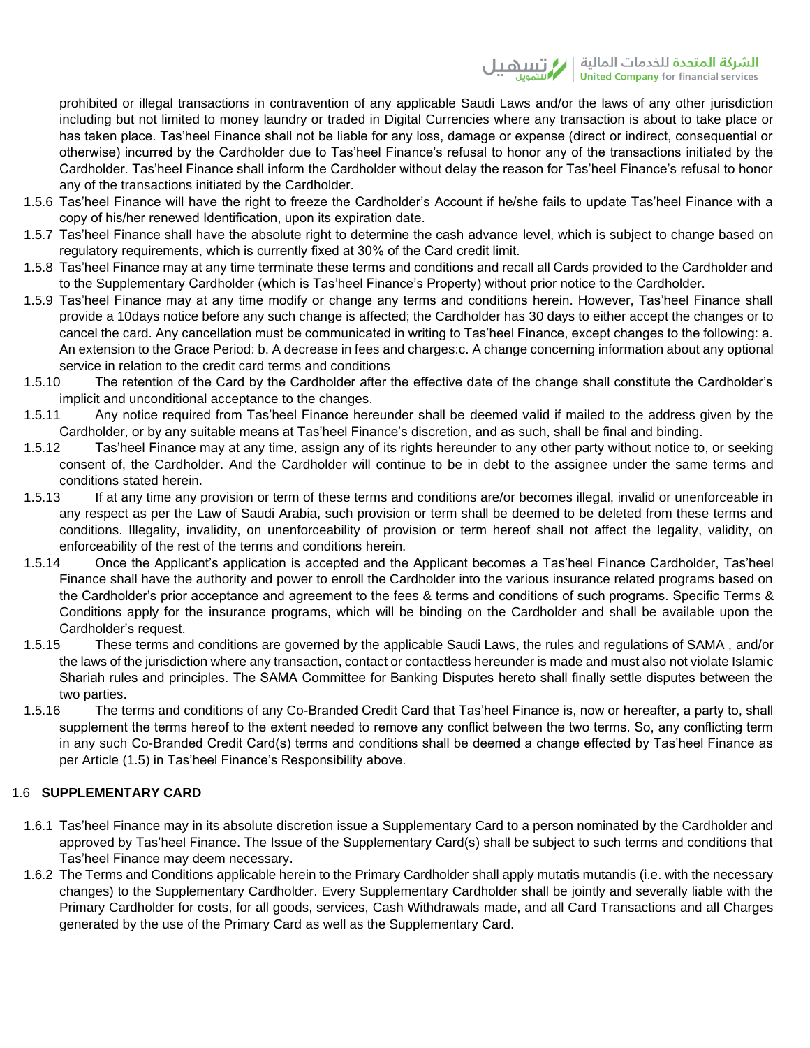prohibited or illegal transactions in contravention of any applicable Saudi Laws and/or the laws of any other jurisdiction including but not limited to money laundry or traded in Digital Currencies where any transaction is about to take place or has taken place. Tas'heel Finance shall not be liable for any loss, damage or expense (direct or indirect, consequential or otherwise) incurred by the Cardholder due to Tas'heel Finance's refusal to honor any of the transactions initiated by the Cardholder. Tas'heel Finance shall inform the Cardholder without delay the reason for Tas'heel Finance's refusal to honor any of the transactions initiated by the Cardholder.

- 1.5.6 Tas'heel Finance will have the right to freeze the Cardholder's Account if he/she fails to update Tas'heel Finance with a copy of his/her renewed Identification, upon its expiration date.
- 1.5.7 Tas'heel Finance shall have the absolute right to determine the cash advance level, which is subject to change based on regulatory requirements, which is currently fixed at 30% of the Card credit limit.
- 1.5.8 Tas'heel Finance may at any time terminate these terms and conditions and recall all Cards provided to the Cardholder and to the Supplementary Cardholder (which is Tas'heel Finance's Property) without prior notice to the Cardholder.
- 1.5.9 Tas'heel Finance may at any time modify or change any terms and conditions herein. However, Tas'heel Finance shall provide a 10days notice before any such change is affected; the Cardholder has 30 days to either accept the changes or to cancel the card. Any cancellation must be communicated in writing to Tas'heel Finance, except changes to the following: a. An extension to the Grace Period: b. A decrease in fees and charges:c. A change concerning information about any optional service in relation to the credit card terms and conditions
- 1.5.10 The retention of the Card by the Cardholder after the effective date of the change shall constitute the Cardholder's implicit and unconditional acceptance to the changes.
- 1.5.11 Any notice required from Tas'heel Finance hereunder shall be deemed valid if mailed to the address given by the Cardholder, or by any suitable means at Tas'heel Finance's discretion, and as such, shall be final and binding.
- 1.5.12 Tas'heel Finance may at any time, assign any of its rights hereunder to any other party without notice to, or seeking consent of, the Cardholder. And the Cardholder will continue to be in debt to the assignee under the same terms and conditions stated herein.
- 1.5.13 If at any time any provision or term of these terms and conditions are/or becomes illegal, invalid or unenforceable in any respect as per the Law of Saudi Arabia, such provision or term shall be deemed to be deleted from these terms and conditions. Illegality, invalidity, on unenforceability of provision or term hereof shall not affect the legality, validity, on enforceability of the rest of the terms and conditions herein.
- 1.5.14 Once the Applicant's application is accepted and the Applicant becomes a Tas'heel Finance Cardholder, Tas'heel Finance shall have the authority and power to enroll the Cardholder into the various insurance related programs based on the Cardholder's prior acceptance and agreement to the fees & terms and conditions of such programs. Specific Terms & Conditions apply for the insurance programs, which will be binding on the Cardholder and shall be available upon the Cardholder's request.
- 1.5.15 These terms and conditions are governed by the applicable Saudi Laws, the rules and regulations of SAMA , and/or the laws of the jurisdiction where any transaction, contact or contactless hereunder is made and must also not violate Islamic Shariah rules and principles. The SAMA Committee for Banking Disputes hereto shall finally settle disputes between the two parties.
- 1.5.16 The terms and conditions of any Co-Branded Credit Card that Tas'heel Finance is, now or hereafter, a party to, shall supplement the terms hereof to the extent needed to remove any conflict between the two terms. So, any conflicting term in any such Co-Branded Credit Card(s) terms and conditions shall be deemed a change effected by Tas'heel Finance as per Article (1.5) in Tas'heel Finance's Responsibility above.

# 1.6 **SUPPLEMENTARY CARD**

- 1.6.1 Tas'heel Finance may in its absolute discretion issue a Supplementary Card to a person nominated by the Cardholder and approved by Tas'heel Finance. The Issue of the Supplementary Card(s) shall be subject to such terms and conditions that Tas'heel Finance may deem necessary.
- 1.6.2 The Terms and Conditions applicable herein to the Primary Cardholder shall apply mutatis mutandis (i.e. with the necessary changes) to the Supplementary Cardholder. Every Supplementary Cardholder shall be jointly and severally liable with the Primary Cardholder for costs, for all goods, services, Cash Withdrawals made, and all Card Transactions and all Charges generated by the use of the Primary Card as well as the Supplementary Card.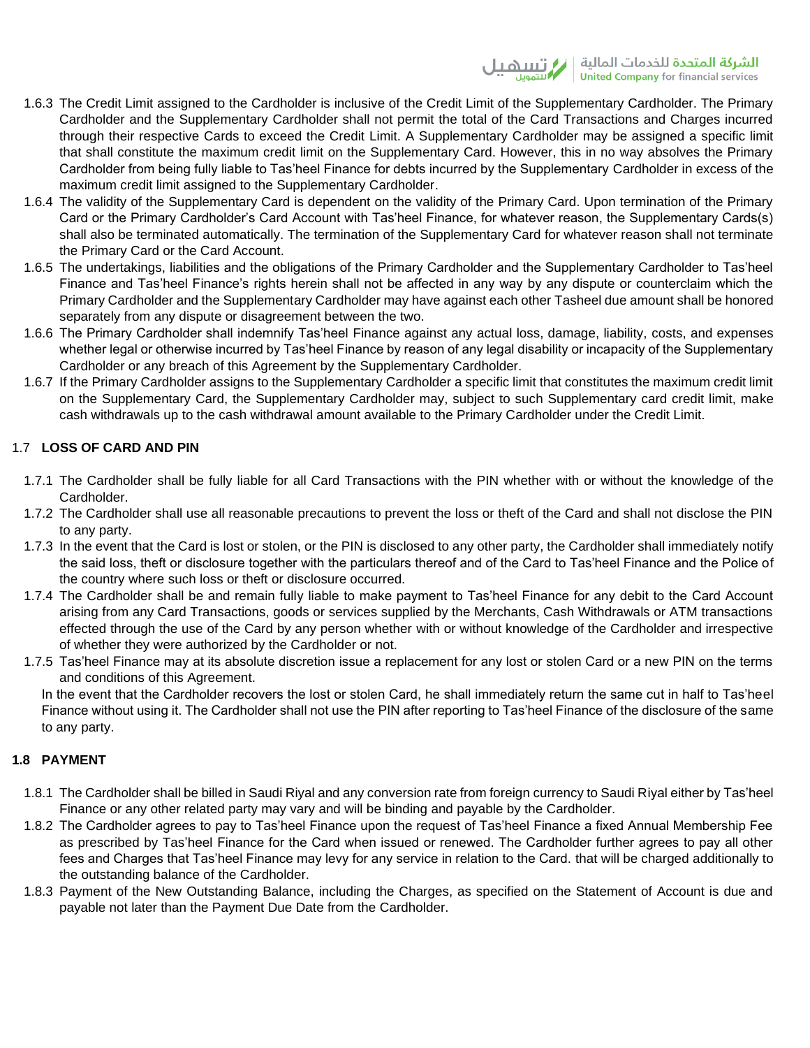- 1.6.3 The Credit Limit assigned to the Cardholder is inclusive of the Credit Limit of the Supplementary Cardholder. The Primary Cardholder and the Supplementary Cardholder shall not permit the total of the Card Transactions and Charges incurred through their respective Cards to exceed the Credit Limit. A Supplementary Cardholder may be assigned a specific limit that shall constitute the maximum credit limit on the Supplementary Card. However, this in no way absolves the Primary Cardholder from being fully liable to Tas'heel Finance for debts incurred by the Supplementary Cardholder in excess of the maximum credit limit assigned to the Supplementary Cardholder.
- 1.6.4 The validity of the Supplementary Card is dependent on the validity of the Primary Card. Upon termination of the Primary Card or the Primary Cardholder's Card Account with Tas'heel Finance, for whatever reason, the Supplementary Cards(s) shall also be terminated automatically. The termination of the Supplementary Card for whatever reason shall not terminate the Primary Card or the Card Account.
- 1.6.5 The undertakings, liabilities and the obligations of the Primary Cardholder and the Supplementary Cardholder to Tas'heel Finance and Tas'heel Finance's rights herein shall not be affected in any way by any dispute or counterclaim which the Primary Cardholder and the Supplementary Cardholder may have against each other Tasheel due amount shall be honored separately from any dispute or disagreement between the two.
- 1.6.6 The Primary Cardholder shall indemnify Tas'heel Finance against any actual loss, damage, liability, costs, and expenses whether legal or otherwise incurred by Tas'heel Finance by reason of any legal disability or incapacity of the Supplementary Cardholder or any breach of this Agreement by the Supplementary Cardholder.
- 1.6.7 If the Primary Cardholder assigns to the Supplementary Cardholder a specific limit that constitutes the maximum credit limit on the Supplementary Card, the Supplementary Cardholder may, subject to such Supplementary card credit limit, make cash withdrawals up to the cash withdrawal amount available to the Primary Cardholder under the Credit Limit.

# 1.7 **LOSS OF CARD AND PIN**

- 1.7.1 The Cardholder shall be fully liable for all Card Transactions with the PIN whether with or without the knowledge of the Cardholder.
- 1.7.2 The Cardholder shall use all reasonable precautions to prevent the loss or theft of the Card and shall not disclose the PIN to any party.
- 1.7.3 In the event that the Card is lost or stolen, or the PIN is disclosed to any other party, the Cardholder shall immediately notify the said loss, theft or disclosure together with the particulars thereof and of the Card to Tas'heel Finance and the Police of the country where such loss or theft or disclosure occurred.
- 1.7.4 The Cardholder shall be and remain fully liable to make payment to Tas'heel Finance for any debit to the Card Account arising from any Card Transactions, goods or services supplied by the Merchants, Cash Withdrawals or ATM transactions effected through the use of the Card by any person whether with or without knowledge of the Cardholder and irrespective of whether they were authorized by the Cardholder or not.
- 1.7.5 Tas'heel Finance may at its absolute discretion issue a replacement for any lost or stolen Card or a new PIN on the terms and conditions of this Agreement.

In the event that the Cardholder recovers the lost or stolen Card, he shall immediately return the same cut in half to Tas'heel Finance without using it. The Cardholder shall not use the PIN after reporting to Tas'heel Finance of the disclosure of the same to any party.

# **1.8 PAYMENT**

- 1.8.1 The Cardholder shall be billed in Saudi Riyal and any conversion rate from foreign currency to Saudi Riyal either by Tas'heel Finance or any other related party may vary and will be binding and payable by the Cardholder.
- 1.8.2 The Cardholder agrees to pay to Tas'heel Finance upon the request of Tas'heel Finance a fixed Annual Membership Fee as prescribed by Tas'heel Finance for the Card when issued or renewed. The Cardholder further agrees to pay all other fees and Charges that Tas'heel Finance may levy for any service in relation to the Card. that will be charged additionally to the outstanding balance of the Cardholder.
- 1.8.3 Payment of the New Outstanding Balance, including the Charges, as specified on the Statement of Account is due and payable not later than the Payment Due Date from the Cardholder.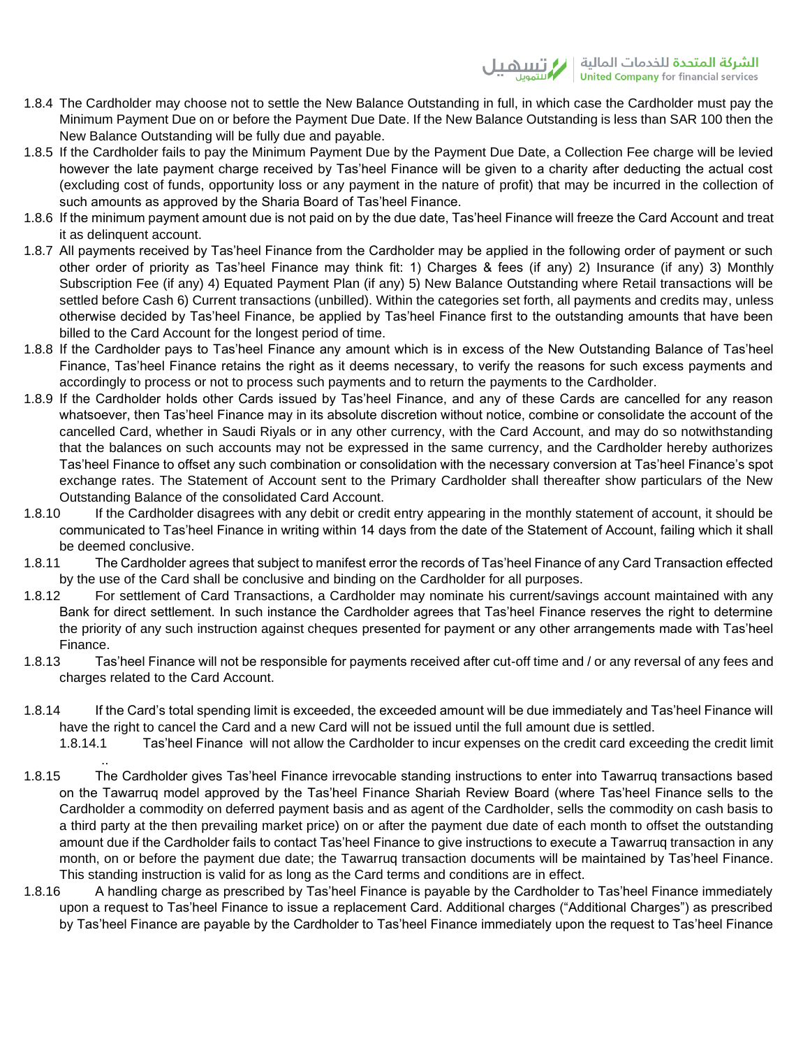- 1.8.4 The Cardholder may choose not to settle the New Balance Outstanding in full, in which case the Cardholder must pay the Minimum Payment Due on or before the Payment Due Date. If the New Balance Outstanding is less than SAR 100 then the New Balance Outstanding will be fully due and payable.
- 1.8.5 If the Cardholder fails to pay the Minimum Payment Due by the Payment Due Date, a Collection Fee charge will be levied however the late payment charge received by Tas'heel Finance will be given to a charity after deducting the actual cost (excluding cost of funds, opportunity loss or any payment in the nature of profit) that may be incurred in the collection of such amounts as approved by the Sharia Board of Tas'heel Finance.
- 1.8.6 If the minimum payment amount due is not paid on by the due date, Tas'heel Finance will freeze the Card Account and treat it as delinquent account.
- 1.8.7 All payments received by Tas'heel Finance from the Cardholder may be applied in the following order of payment or such other order of priority as Tas'heel Finance may think fit: 1) Charges & fees (if any) 2) Insurance (if any) 3) Monthly Subscription Fee (if any) 4) Equated Payment Plan (if any) 5) New Balance Outstanding where Retail transactions will be settled before Cash 6) Current transactions (unbilled). Within the categories set forth, all payments and credits may, unless otherwise decided by Tas'heel Finance, be applied by Tas'heel Finance first to the outstanding amounts that have been billed to the Card Account for the longest period of time.
- 1.8.8 If the Cardholder pays to Tas'heel Finance any amount which is in excess of the New Outstanding Balance of Tas'heel Finance, Tas'heel Finance retains the right as it deems necessary, to verify the reasons for such excess payments and accordingly to process or not to process such payments and to return the payments to the Cardholder.
- 1.8.9 If the Cardholder holds other Cards issued by Tas'heel Finance, and any of these Cards are cancelled for any reason whatsoever, then Tas'heel Finance may in its absolute discretion without notice, combine or consolidate the account of the cancelled Card, whether in Saudi Riyals or in any other currency, with the Card Account, and may do so notwithstanding that the balances on such accounts may not be expressed in the same currency, and the Cardholder hereby authorizes Tas'heel Finance to offset any such combination or consolidation with the necessary conversion at Tas'heel Finance's spot exchange rates. The Statement of Account sent to the Primary Cardholder shall thereafter show particulars of the New Outstanding Balance of the consolidated Card Account.
- 1.8.10 If the Cardholder disagrees with any debit or credit entry appearing in the monthly statement of account, it should be communicated to Tas'heel Finance in writing within 14 days from the date of the Statement of Account, failing which it shall be deemed conclusive.
- 1.8.11 The Cardholder agrees that subject to manifest error the records of Tas'heel Finance of any Card Transaction effected by the use of the Card shall be conclusive and binding on the Cardholder for all purposes.
- 1.8.12 For settlement of Card Transactions, a Cardholder may nominate his current/savings account maintained with any Bank for direct settlement. In such instance the Cardholder agrees that Tas'heel Finance reserves the right to determine the priority of any such instruction against cheques presented for payment or any other arrangements made with Tas'heel Finance.
- 1.8.13 Tas'heel Finance will not be responsible for payments received after cut-off time and / or any reversal of any fees and charges related to the Card Account.
- 1.8.14 If the Card's total spending limit is exceeded, the exceeded amount will be due immediately and Tas'heel Finance will have the right to cancel the Card and a new Card will not be issued until the full amount due is settled.

..

- 1.8.14.1 Tas'heel Finance will not allow the Cardholder to incur expenses on the credit card exceeding the credit limit
- 1.8.15 The Cardholder gives Tas'heel Finance irrevocable standing instructions to enter into Tawarruq transactions based on the Tawarruq model approved by the Tas'heel Finance Shariah Review Board (where Tas'heel Finance sells to the Cardholder a commodity on deferred payment basis and as agent of the Cardholder, sells the commodity on cash basis to a third party at the then prevailing market price) on or after the payment due date of each month to offset the outstanding amount due if the Cardholder fails to contact Tas'heel Finance to give instructions to execute a Tawarruq transaction in any month, on or before the payment due date; the Tawarruq transaction documents will be maintained by Tas'heel Finance. This standing instruction is valid for as long as the Card terms and conditions are in effect.
- 1.8.16 A handling charge as prescribed by Tas'heel Finance is payable by the Cardholder to Tas'heel Finance immediately upon a request to Tas'heel Finance to issue a replacement Card. Additional charges ("Additional Charges") as prescribed by Tas'heel Finance are payable by the Cardholder to Tas'heel Finance immediately upon the request to Tas'heel Finance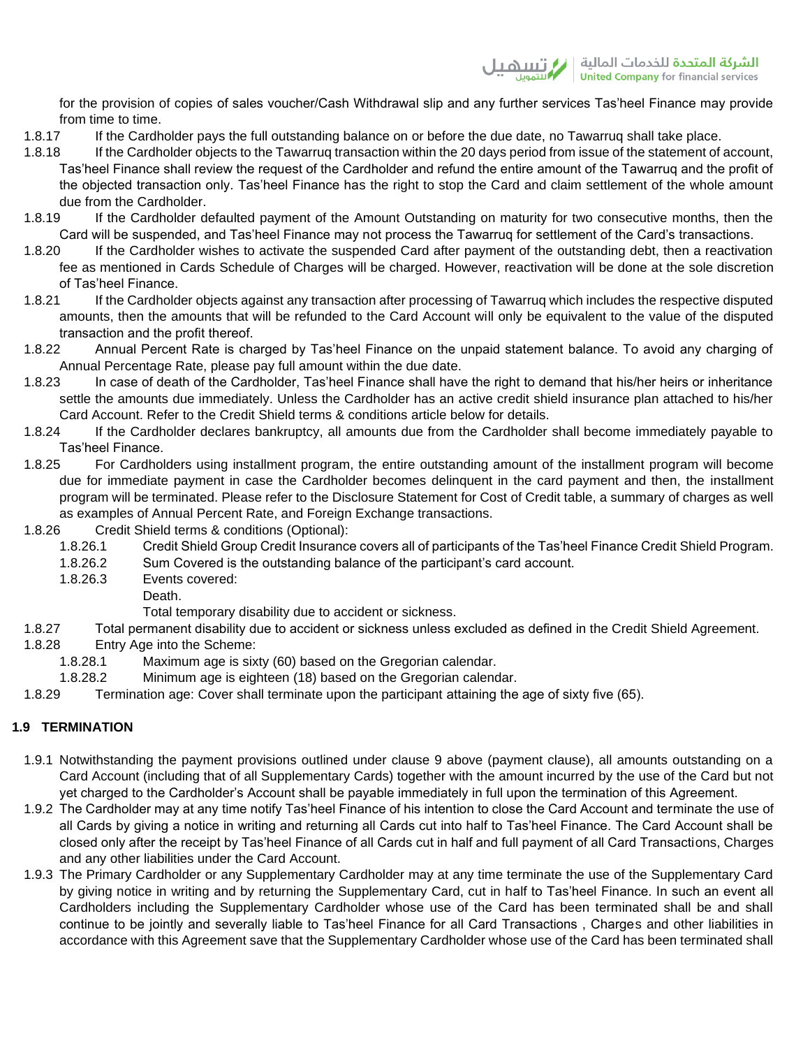for the provision of copies of sales voucher/Cash Withdrawal slip and any further services Tas'heel Finance may provide from time to time.

- 1.8.17 If the Cardholder pays the full outstanding balance on or before the due date, no Tawarruq shall take place.
- 1.8.18 If the Cardholder objects to the Tawarruq transaction within the 20 days period from issue of the statement of account, Tas'heel Finance shall review the request of the Cardholder and refund the entire amount of the Tawarruq and the profit of the objected transaction only. Tas'heel Finance has the right to stop the Card and claim settlement of the whole amount due from the Cardholder.
- 1.8.19 If the Cardholder defaulted payment of the Amount Outstanding on maturity for two consecutive months, then the Card will be suspended, and Tas'heel Finance may not process the Tawarruq for settlement of the Card's transactions.
- 1.8.20 If the Cardholder wishes to activate the suspended Card after payment of the outstanding debt, then a reactivation fee as mentioned in Cards Schedule of Charges will be charged. However, reactivation will be done at the sole discretion of Tas'heel Finance.
- 1.8.21 If the Cardholder objects against any transaction after processing of Tawarruq which includes the respective disputed amounts, then the amounts that will be refunded to the Card Account will only be equivalent to the value of the disputed transaction and the profit thereof.
- 1.8.22 Annual Percent Rate is charged by Tas'heel Finance on the unpaid statement balance. To avoid any charging of Annual Percentage Rate, please pay full amount within the due date.
- 1.8.23 In case of death of the Cardholder, Tas'heel Finance shall have the right to demand that his/her heirs or inheritance settle the amounts due immediately. Unless the Cardholder has an active credit shield insurance plan attached to his/her Card Account. Refer to the Credit Shield terms & conditions article below for details.
- 1.8.24 If the Cardholder declares bankruptcy, all amounts due from the Cardholder shall become immediately payable to Tas'heel Finance.
- 1.8.25 For Cardholders using installment program, the entire outstanding amount of the installment program will become due for immediate payment in case the Cardholder becomes delinquent in the card payment and then, the installment program will be terminated. Please refer to the Disclosure Statement for Cost of Credit table, a summary of charges as well as examples of Annual Percent Rate, and Foreign Exchange transactions.
- 1.8.26 Credit Shield terms & conditions (Optional):
	- 1.8.26.1 Credit Shield Group Credit Insurance covers all of participants of the Tas'heel Finance Credit Shield Program.
	- 1.8.26.2 Sum Covered is the outstanding balance of the participant's card account.
	- 1.8.26.3 Events covered:
		- Death.
		- Total temporary disability due to accident or sickness.
- 1.8.27 Total permanent disability due to accident or sickness unless excluded as defined in the Credit Shield Agreement.
- 1.8.28 Entry Age into the Scheme:
	- 1.8.28.1 Maximum age is sixty (60) based on the Gregorian calendar.
	- 1.8.28.2 Minimum age is eighteen (18) based on the Gregorian calendar.
- 1.8.29 Termination age: Cover shall terminate upon the participant attaining the age of sixty five (65).

# **1.9 TERMINATION**

- 1.9.1 Notwithstanding the payment provisions outlined under clause 9 above (payment clause), all amounts outstanding on a Card Account (including that of all Supplementary Cards) together with the amount incurred by the use of the Card but not yet charged to the Cardholder's Account shall be payable immediately in full upon the termination of this Agreement.
- 1.9.2 The Cardholder may at any time notify Tas'heel Finance of his intention to close the Card Account and terminate the use of all Cards by giving a notice in writing and returning all Cards cut into half to Tas'heel Finance. The Card Account shall be closed only after the receipt by Tas'heel Finance of all Cards cut in half and full payment of all Card Transactions, Charges and any other liabilities under the Card Account.
- 1.9.3 The Primary Cardholder or any Supplementary Cardholder may at any time terminate the use of the Supplementary Card by giving notice in writing and by returning the Supplementary Card, cut in half to Tas'heel Finance. In such an event all Cardholders including the Supplementary Cardholder whose use of the Card has been terminated shall be and shall continue to be jointly and severally liable to Tas'heel Finance for all Card Transactions , Charges and other liabilities in accordance with this Agreement save that the Supplementary Cardholder whose use of the Card has been terminated shall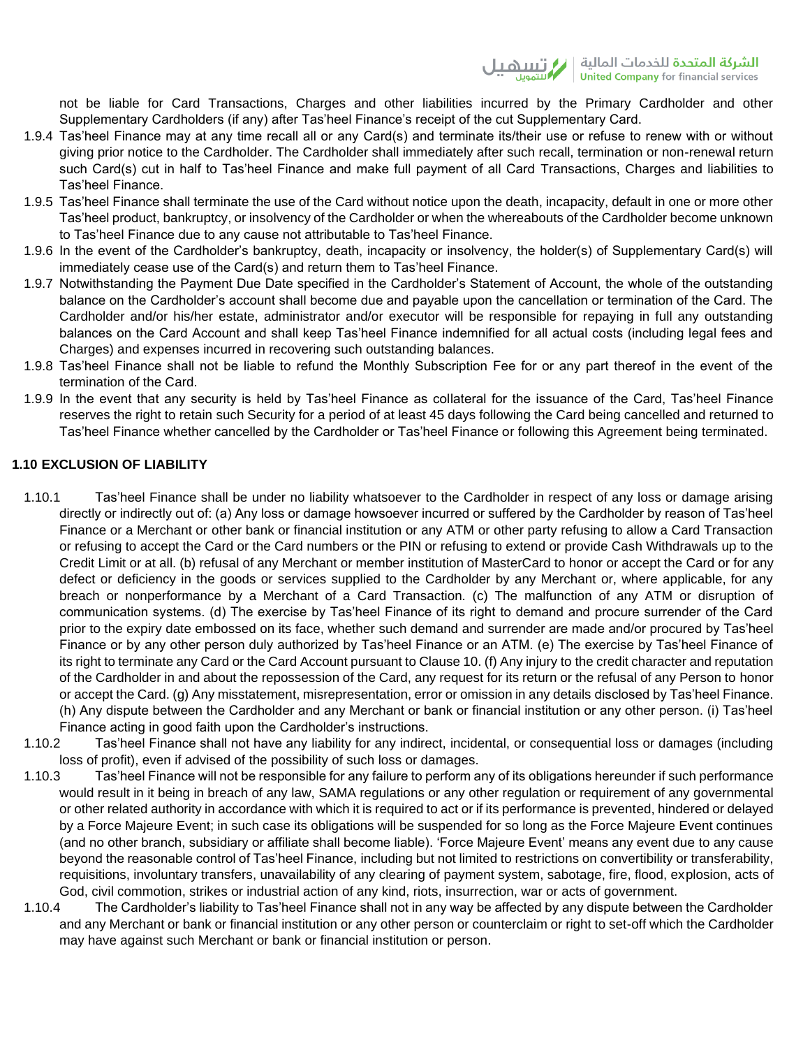not be liable for Card Transactions, Charges and other liabilities incurred by the Primary Cardholder and other Supplementary Cardholders (if any) after Tas'heel Finance's receipt of the cut Supplementary Card.

- 1.9.4 Tas'heel Finance may at any time recall all or any Card(s) and terminate its/their use or refuse to renew with or without giving prior notice to the Cardholder. The Cardholder shall immediately after such recall, termination or non-renewal return such Card(s) cut in half to Tas'heel Finance and make full payment of all Card Transactions, Charges and liabilities to Tas'heel Finance.
- 1.9.5 Tas'heel Finance shall terminate the use of the Card without notice upon the death, incapacity, default in one or more other Tas'heel product, bankruptcy, or insolvency of the Cardholder or when the whereabouts of the Cardholder become unknown to Tas'heel Finance due to any cause not attributable to Tas'heel Finance.
- 1.9.6 In the event of the Cardholder's bankruptcy, death, incapacity or insolvency, the holder(s) of Supplementary Card(s) will immediately cease use of the Card(s) and return them to Tas'heel Finance.
- 1.9.7 Notwithstanding the Payment Due Date specified in the Cardholder's Statement of Account, the whole of the outstanding balance on the Cardholder's account shall become due and payable upon the cancellation or termination of the Card. The Cardholder and/or his/her estate, administrator and/or executor will be responsible for repaying in full any outstanding balances on the Card Account and shall keep Tas'heel Finance indemnified for all actual costs (including legal fees and Charges) and expenses incurred in recovering such outstanding balances.
- 1.9.8 Tas'heel Finance shall not be liable to refund the Monthly Subscription Fee for or any part thereof in the event of the termination of the Card.
- 1.9.9 In the event that any security is held by Tas'heel Finance as collateral for the issuance of the Card, Tas'heel Finance reserves the right to retain such Security for a period of at least 45 days following the Card being cancelled and returned to Tas'heel Finance whether cancelled by the Cardholder or Tas'heel Finance or following this Agreement being terminated.

# **1.10 EXCLUSION OF LIABILITY**

- 1.10.1 Tas'heel Finance shall be under no liability whatsoever to the Cardholder in respect of any loss or damage arising directly or indirectly out of: (a) Any loss or damage howsoever incurred or suffered by the Cardholder by reason of Tas'heel Finance or a Merchant or other bank or financial institution or any ATM or other party refusing to allow a Card Transaction or refusing to accept the Card or the Card numbers or the PIN or refusing to extend or provide Cash Withdrawals up to the Credit Limit or at all. (b) refusal of any Merchant or member institution of MasterCard to honor or accept the Card or for any defect or deficiency in the goods or services supplied to the Cardholder by any Merchant or, where applicable, for any breach or nonperformance by a Merchant of a Card Transaction. (c) The malfunction of any ATM or disruption of communication systems. (d) The exercise by Tas'heel Finance of its right to demand and procure surrender of the Card prior to the expiry date embossed on its face, whether such demand and surrender are made and/or procured by Tas'heel Finance or by any other person duly authorized by Tas'heel Finance or an ATM. (e) The exercise by Tas'heel Finance of its right to terminate any Card or the Card Account pursuant to Clause 10. (f) Any injury to the credit character and reputation of the Cardholder in and about the repossession of the Card, any request for its return or the refusal of any Person to honor or accept the Card. (g) Any misstatement, misrepresentation, error or omission in any details disclosed by Tas'heel Finance. (h) Any dispute between the Cardholder and any Merchant or bank or financial institution or any other person. (i) Tas'heel Finance acting in good faith upon the Cardholder's instructions.
- 1.10.2 Tas'heel Finance shall not have any liability for any indirect, incidental, or consequential loss or damages (including loss of profit), even if advised of the possibility of such loss or damages.
- 1.10.3 Tas'heel Finance will not be responsible for any failure to perform any of its obligations hereunder if such performance would result in it being in breach of any law, SAMA regulations or any other regulation or requirement of any governmental or other related authority in accordance with which it is required to act or if its performance is prevented, hindered or delayed by a Force Majeure Event; in such case its obligations will be suspended for so long as the Force Majeure Event continues (and no other branch, subsidiary or affiliate shall become liable). 'Force Majeure Event' means any event due to any cause beyond the reasonable control of Tas'heel Finance, including but not limited to restrictions on convertibility or transferability, requisitions, involuntary transfers, unavailability of any clearing of payment system, sabotage, fire, flood, explosion, acts of God, civil commotion, strikes or industrial action of any kind, riots, insurrection, war or acts of government.
- 1.10.4 The Cardholder's liability to Tas'heel Finance shall not in any way be affected by any dispute between the Cardholder and any Merchant or bank or financial institution or any other person or counterclaim or right to set-off which the Cardholder may have against such Merchant or bank or financial institution or person.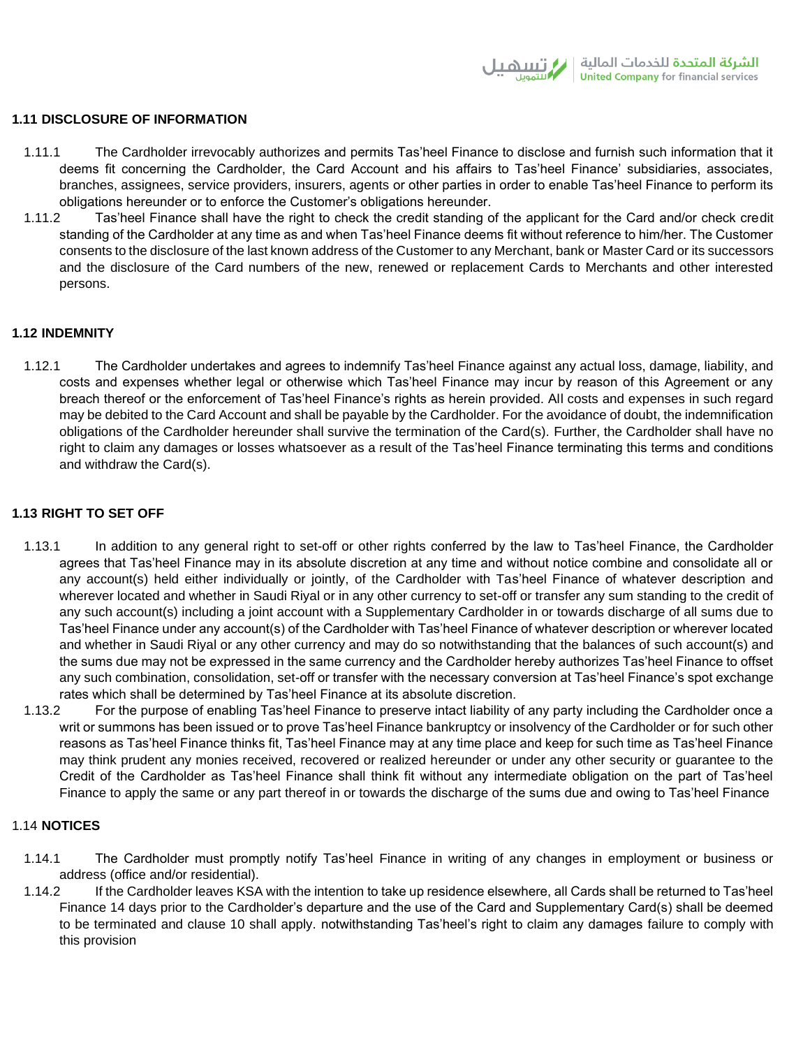## **1.11 DISCLOSURE OF INFORMATION**

- 1.11.1 The Cardholder irrevocably authorizes and permits Tas'heel Finance to disclose and furnish such information that it deems fit concerning the Cardholder, the Card Account and his affairs to Tas'heel Finance' subsidiaries, associates, branches, assignees, service providers, insurers, agents or other parties in order to enable Tas'heel Finance to perform its obligations hereunder or to enforce the Customer's obligations hereunder.
- 1.11.2 Tas'heel Finance shall have the right to check the credit standing of the applicant for the Card and/or check credit standing of the Cardholder at any time as and when Tas'heel Finance deems fit without reference to him/her. The Customer consents to the disclosure of the last known address of the Customer to any Merchant, bank or Master Card or its successors and the disclosure of the Card numbers of the new, renewed or replacement Cards to Merchants and other interested persons.

## **1.12 INDEMNITY**

1.12.1 The Cardholder undertakes and agrees to indemnify Tas'heel Finance against any actual loss, damage, liability, and costs and expenses whether legal or otherwise which Tas'heel Finance may incur by reason of this Agreement or any breach thereof or the enforcement of Tas'heel Finance's rights as herein provided. All costs and expenses in such regard may be debited to the Card Account and shall be payable by the Cardholder. For the avoidance of doubt, the indemnification obligations of the Cardholder hereunder shall survive the termination of the Card(s). Further, the Cardholder shall have no right to claim any damages or losses whatsoever as a result of the Tas'heel Finance terminating this terms and conditions and withdraw the Card(s).

## **1.13 RIGHT TO SET OFF**

- 1.13.1 In addition to any general right to set-off or other rights conferred by the law to Tas'heel Finance, the Cardholder agrees that Tas'heel Finance may in its absolute discretion at any time and without notice combine and consolidate all or any account(s) held either individually or jointly, of the Cardholder with Tas'heel Finance of whatever description and wherever located and whether in Saudi Riyal or in any other currency to set-off or transfer any sum standing to the credit of any such account(s) including a joint account with a Supplementary Cardholder in or towards discharge of all sums due to Tas'heel Finance under any account(s) of the Cardholder with Tas'heel Finance of whatever description or wherever located and whether in Saudi Riyal or any other currency and may do so notwithstanding that the balances of such account(s) and the sums due may not be expressed in the same currency and the Cardholder hereby authorizes Tas'heel Finance to offset any such combination, consolidation, set-off or transfer with the necessary conversion at Tas'heel Finance's spot exchange rates which shall be determined by Tas'heel Finance at its absolute discretion.
- 1.13.2 For the purpose of enabling Tas'heel Finance to preserve intact liability of any party including the Cardholder once a writ or summons has been issued or to prove Tas'heel Finance bankruptcy or insolvency of the Cardholder or for such other reasons as Tas'heel Finance thinks fit, Tas'heel Finance may at any time place and keep for such time as Tas'heel Finance may think prudent any monies received, recovered or realized hereunder or under any other security or guarantee to the Credit of the Cardholder as Tas'heel Finance shall think fit without any intermediate obligation on the part of Tas'heel Finance to apply the same or any part thereof in or towards the discharge of the sums due and owing to Tas'heel Finance

# 1.14 **NOTICES**

- 1.14.1 The Cardholder must promptly notify Tas'heel Finance in writing of any changes in employment or business or address (office and/or residential).
- 1.14.2 If the Cardholder leaves KSA with the intention to take up residence elsewhere, all Cards shall be returned to Tas'heel Finance 14 days prior to the Cardholder's departure and the use of the Card and Supplementary Card(s) shall be deemed to be terminated and clause 10 shall apply. notwithstanding Tas'heel's right to claim any damages failure to comply with this provision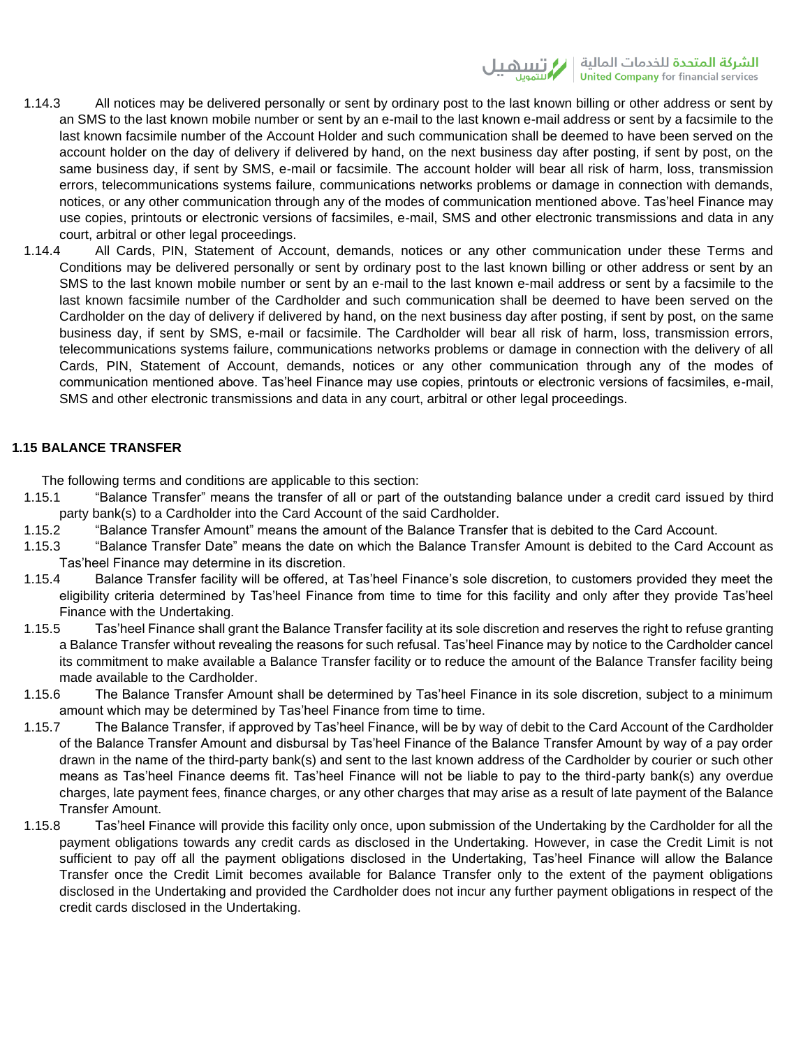<mark>الشركة المتحدة لل</mark>خدمات المالية | ز/ <del>آ</del> **United Company for financial services** 

- 1.14.3 All notices may be delivered personally or sent by ordinary post to the last known billing or other address or sent by an SMS to the last known mobile number or sent by an e-mail to the last known e-mail address or sent by a facsimile to the last known facsimile number of the Account Holder and such communication shall be deemed to have been served on the account holder on the day of delivery if delivered by hand, on the next business day after posting, if sent by post, on the same business day, if sent by SMS, e-mail or facsimile. The account holder will bear all risk of harm, loss, transmission errors, telecommunications systems failure, communications networks problems or damage in connection with demands, notices, or any other communication through any of the modes of communication mentioned above. Tas'heel Finance may use copies, printouts or electronic versions of facsimiles, e-mail, SMS and other electronic transmissions and data in any court, arbitral or other legal proceedings.
- 1.14.4 All Cards, PIN, Statement of Account, demands, notices or any other communication under these Terms and Conditions may be delivered personally or sent by ordinary post to the last known billing or other address or sent by an SMS to the last known mobile number or sent by an e-mail to the last known e-mail address or sent by a facsimile to the last known facsimile number of the Cardholder and such communication shall be deemed to have been served on the Cardholder on the day of delivery if delivered by hand, on the next business day after posting, if sent by post, on the same business day, if sent by SMS, e-mail or facsimile. The Cardholder will bear all risk of harm, loss, transmission errors, telecommunications systems failure, communications networks problems or damage in connection with the delivery of all Cards, PIN, Statement of Account, demands, notices or any other communication through any of the modes of communication mentioned above. Tas'heel Finance may use copies, printouts or electronic versions of facsimiles, e-mail, SMS and other electronic transmissions and data in any court, arbitral or other legal proceedings.

## **1.15 BALANCE TRANSFER**

The following terms and conditions are applicable to this section:

- 1.15.1 "Balance Transfer" means the transfer of all or part of the outstanding balance under a credit card issued by third party bank(s) to a Cardholder into the Card Account of the said Cardholder.
- 1.15.2 "Balance Transfer Amount" means the amount of the Balance Transfer that is debited to the Card Account.
- 1.15.3 "Balance Transfer Date" means the date on which the Balance Transfer Amount is debited to the Card Account as Tas'heel Finance may determine in its discretion.
- 1.15.4 Balance Transfer facility will be offered, at Tas'heel Finance's sole discretion, to customers provided they meet the eligibility criteria determined by Tas'heel Finance from time to time for this facility and only after they provide Tas'heel Finance with the Undertaking.
- 1.15.5 Tas'heel Finance shall grant the Balance Transfer facility at its sole discretion and reserves the right to refuse granting a Balance Transfer without revealing the reasons for such refusal. Tas'heel Finance may by notice to the Cardholder cancel its commitment to make available a Balance Transfer facility or to reduce the amount of the Balance Transfer facility being made available to the Cardholder.
- 1.15.6 The Balance Transfer Amount shall be determined by Tas'heel Finance in its sole discretion, subject to a minimum amount which may be determined by Tas'heel Finance from time to time.
- 1.15.7 The Balance Transfer, if approved by Tas'heel Finance, will be by way of debit to the Card Account of the Cardholder of the Balance Transfer Amount and disbursal by Tas'heel Finance of the Balance Transfer Amount by way of a pay order drawn in the name of the third-party bank(s) and sent to the last known address of the Cardholder by courier or such other means as Tas'heel Finance deems fit. Tas'heel Finance will not be liable to pay to the third-party bank(s) any overdue charges, late payment fees, finance charges, or any other charges that may arise as a result of late payment of the Balance Transfer Amount.
- 1.15.8 Tas'heel Finance will provide this facility only once, upon submission of the Undertaking by the Cardholder for all the payment obligations towards any credit cards as disclosed in the Undertaking. However, in case the Credit Limit is not sufficient to pay off all the payment obligations disclosed in the Undertaking, Tas'heel Finance will allow the Balance Transfer once the Credit Limit becomes available for Balance Transfer only to the extent of the payment obligations disclosed in the Undertaking and provided the Cardholder does not incur any further payment obligations in respect of the credit cards disclosed in the Undertaking.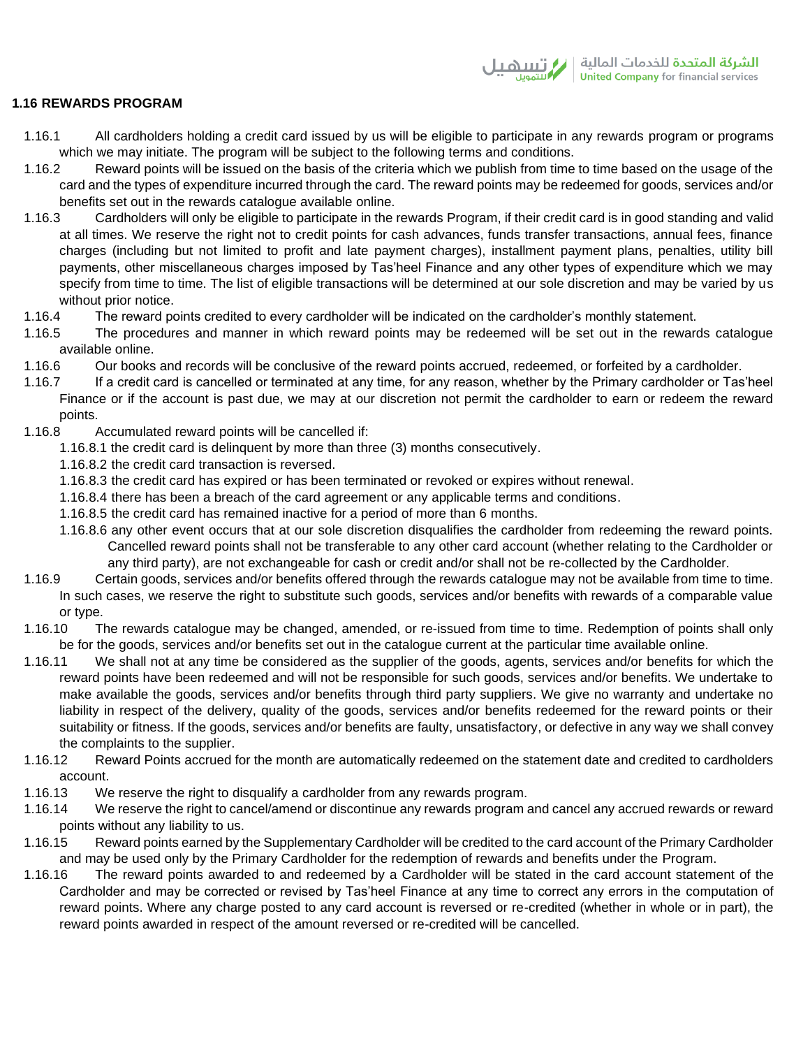# **1.16 REWARDS PROGRAM**

- 1.16.1 All cardholders holding a credit card issued by us will be eligible to participate in any rewards program or programs which we may initiate. The program will be subject to the following terms and conditions.
- 1.16.2 Reward points will be issued on the basis of the criteria which we publish from time to time based on the usage of the card and the types of expenditure incurred through the card. The reward points may be redeemed for goods, services and/or benefits set out in the rewards catalogue available online.
- 1.16.3 Cardholders will only be eligible to participate in the rewards Program, if their credit card is in good standing and valid at all times. We reserve the right not to credit points for cash advances, funds transfer transactions, annual fees, finance charges (including but not limited to profit and late payment charges), installment payment plans, penalties, utility bill payments, other miscellaneous charges imposed by Tas'heel Finance and any other types of expenditure which we may specify from time to time. The list of eligible transactions will be determined at our sole discretion and may be varied by us without prior notice.
- 1.16.4 The reward points credited to every cardholder will be indicated on the cardholder's monthly statement.
- 1.16.5 The procedures and manner in which reward points may be redeemed will be set out in the rewards catalogue available online.
- 1.16.6 Our books and records will be conclusive of the reward points accrued, redeemed, or forfeited by a cardholder.
- 1.16.7 If a credit card is cancelled or terminated at any time, for any reason, whether by the Primary cardholder or Tas'heel Finance or if the account is past due, we may at our discretion not permit the cardholder to earn or redeem the reward points.
- 1.16.8 Accumulated reward points will be cancelled if:
	- 1.16.8.1 the credit card is delinquent by more than three (3) months consecutively.
	- 1.16.8.2 the credit card transaction is reversed.
	- 1.16.8.3 the credit card has expired or has been terminated or revoked or expires without renewal.
	- 1.16.8.4 there has been a breach of the card agreement or any applicable terms and conditions.
	- 1.16.8.5 the credit card has remained inactive for a period of more than 6 months.
	- 1.16.8.6 any other event occurs that at our sole discretion disqualifies the cardholder from redeeming the reward points. Cancelled reward points shall not be transferable to any other card account (whether relating to the Cardholder or any third party), are not exchangeable for cash or credit and/or shall not be re-collected by the Cardholder.
- 1.16.9 Certain goods, services and/or benefits offered through the rewards catalogue may not be available from time to time. In such cases, we reserve the right to substitute such goods, services and/or benefits with rewards of a comparable value or type.
- 1.16.10 The rewards catalogue may be changed, amended, or re-issued from time to time. Redemption of points shall only be for the goods, services and/or benefits set out in the catalogue current at the particular time available online.
- 1.16.11 We shall not at any time be considered as the supplier of the goods, agents, services and/or benefits for which the reward points have been redeemed and will not be responsible for such goods, services and/or benefits. We undertake to make available the goods, services and/or benefits through third party suppliers. We give no warranty and undertake no liability in respect of the delivery, quality of the goods, services and/or benefits redeemed for the reward points or their suitability or fitness. If the goods, services and/or benefits are faulty, unsatisfactory, or defective in any way we shall convey the complaints to the supplier.
- 1.16.12 Reward Points accrued for the month are automatically redeemed on the statement date and credited to cardholders account.
- 1.16.13 We reserve the right to disqualify a cardholder from any rewards program.
- 1.16.14 We reserve the right to cancel/amend or discontinue any rewards program and cancel any accrued rewards or reward points without any liability to us.
- 1.16.15 Reward points earned by the Supplementary Cardholder will be credited to the card account of the Primary Cardholder and may be used only by the Primary Cardholder for the redemption of rewards and benefits under the Program.
- 1.16.16 The reward points awarded to and redeemed by a Cardholder will be stated in the card account statement of the Cardholder and may be corrected or revised by Tas'heel Finance at any time to correct any errors in the computation of reward points. Where any charge posted to any card account is reversed or re-credited (whether in whole or in part), the reward points awarded in respect of the amount reversed or re-credited will be cancelled.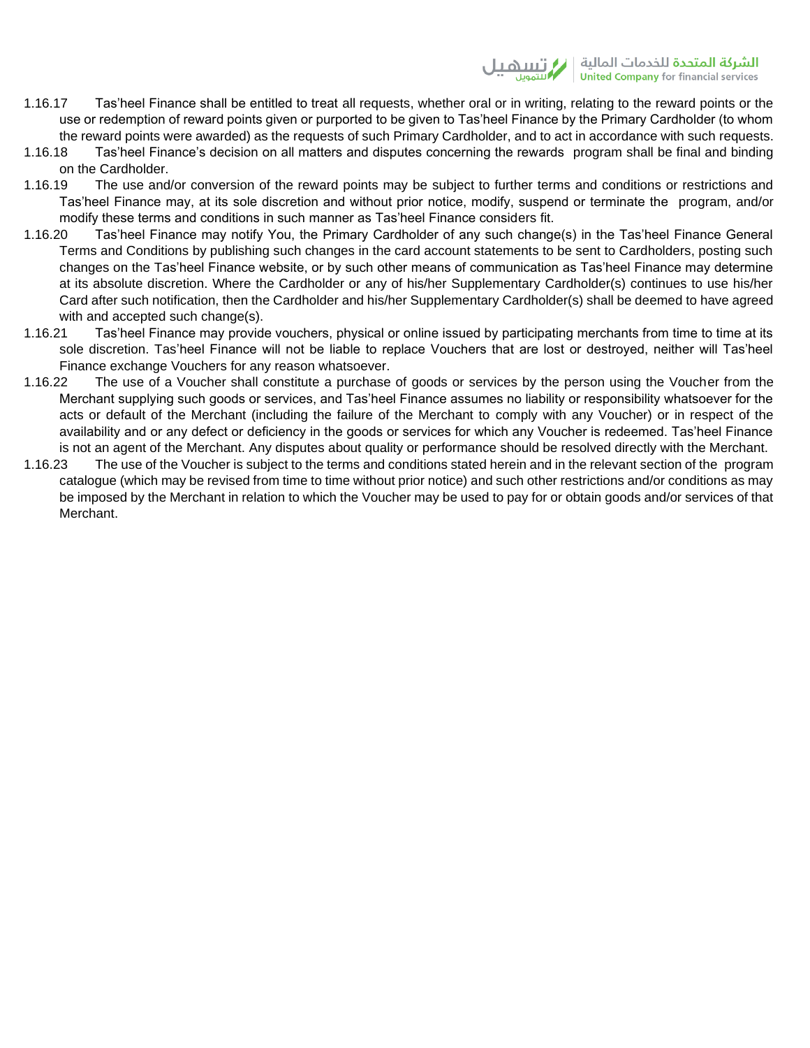- 1.16.17 Tas'heel Finance shall be entitled to treat all requests, whether oral or in writing, relating to the reward points or the use or redemption of reward points given or purported to be given to Tas'heel Finance by the Primary Cardholder (to whom the reward points were awarded) as the requests of such Primary Cardholder, and to act in accordance with such requests.
- 1.16.18 Tas'heel Finance's decision on all matters and disputes concerning the rewards program shall be final and binding on the Cardholder.
- 1.16.19 The use and/or conversion of the reward points may be subject to further terms and conditions or restrictions and Tas'heel Finance may, at its sole discretion and without prior notice, modify, suspend or terminate the program, and/or modify these terms and conditions in such manner as Tas'heel Finance considers fit.
- 1.16.20 Tas'heel Finance may notify You, the Primary Cardholder of any such change(s) in the Tas'heel Finance General Terms and Conditions by publishing such changes in the card account statements to be sent to Cardholders, posting such changes on the Tas'heel Finance website, or by such other means of communication as Tas'heel Finance may determine at its absolute discretion. Where the Cardholder or any of his/her Supplementary Cardholder(s) continues to use his/her Card after such notification, then the Cardholder and his/her Supplementary Cardholder(s) shall be deemed to have agreed with and accepted such change(s).
- 1.16.21 Tas'heel Finance may provide vouchers, physical or online issued by participating merchants from time to time at its sole discretion. Tas'heel Finance will not be liable to replace Vouchers that are lost or destroyed, neither will Tas'heel Finance exchange Vouchers for any reason whatsoever.
- 1.16.22 The use of a Voucher shall constitute a purchase of goods or services by the person using the Voucher from the Merchant supplying such goods or services, and Tas'heel Finance assumes no liability or responsibility whatsoever for the acts or default of the Merchant (including the failure of the Merchant to comply with any Voucher) or in respect of the availability and or any defect or deficiency in the goods or services for which any Voucher is redeemed. Tas'heel Finance is not an agent of the Merchant. Any disputes about quality or performance should be resolved directly with the Merchant.
- 1.16.23 The use of the Voucher is subject to the terms and conditions stated herein and in the relevant section of the program catalogue (which may be revised from time to time without prior notice) and such other restrictions and/or conditions as may be imposed by the Merchant in relation to which the Voucher may be used to pay for or obtain goods and/or services of that Merchant.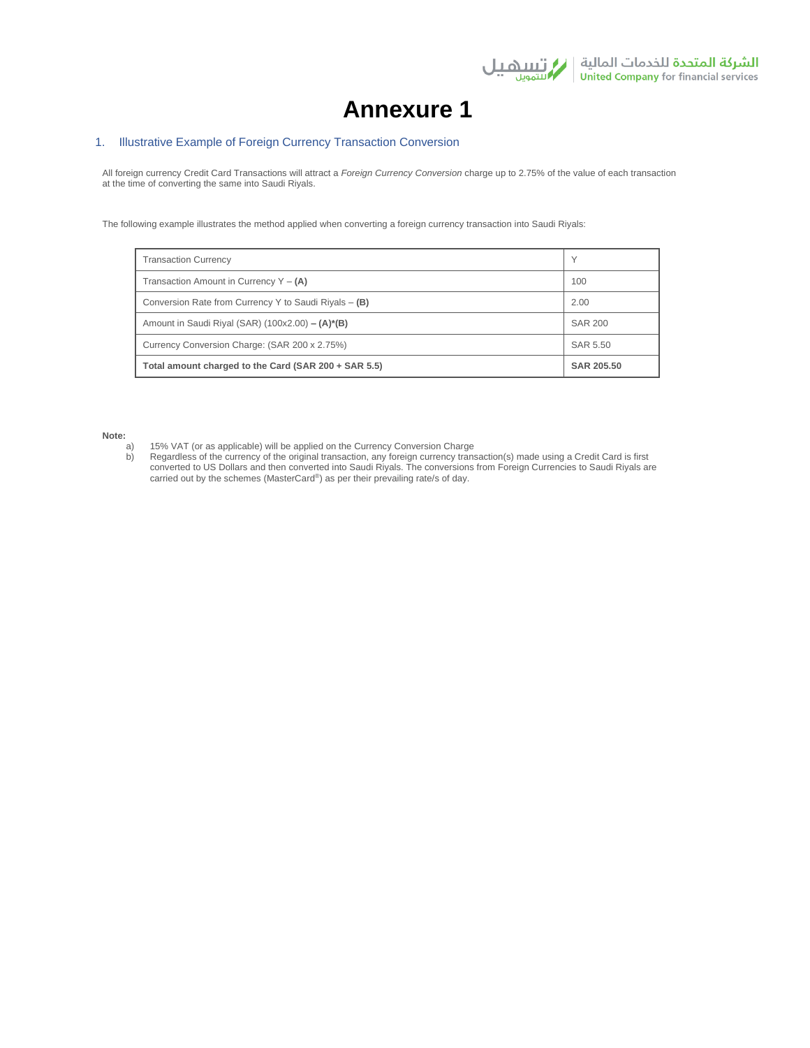

# **Annexure 1**

## 1. Illustrative Example of Foreign Currency Transaction Conversion

All foreign currency Credit Card Transactions will attract a *Foreign Currency Conversion* charge up to 2.75% of the value of each transaction at the time of converting the same into Saudi Riyals.

The following example illustrates the method applied when converting a foreign currency transaction into Saudi Riyals:

| <b>Transaction Currency</b>                           | $\checkmark$   |
|-------------------------------------------------------|----------------|
| Transaction Amount in Currency $Y - (A)$              | 100            |
| Conversion Rate from Currency Y to Saudi Riyals - (B) | 2.00           |
| Amount in Saudi Riyal (SAR) $(100x2.00) - (A)^*(B)$   | <b>SAR 200</b> |
| Currency Conversion Charge: (SAR 200 x 2.75%)         | SAR 5.50       |
| Total amount charged to the Card (SAR 200 + SAR 5.5)  | SAR 205.50     |

**Note:**

a) 15% VAT (or as applicable) will be applied on the Currency Conversion Charge<br>b) Regardless of the currency of the original transaction, any foreign currency trans b) Regardless of the currency of the original transaction, any foreign currency transaction(s) made using a Credit Card is first converted to US Dollars and then converted into Saudi Riyals. The conversions from Foreign Currencies to Saudi Riyals are carried out by the schemes (MasterCard®) as per their prevailing rate/s of day.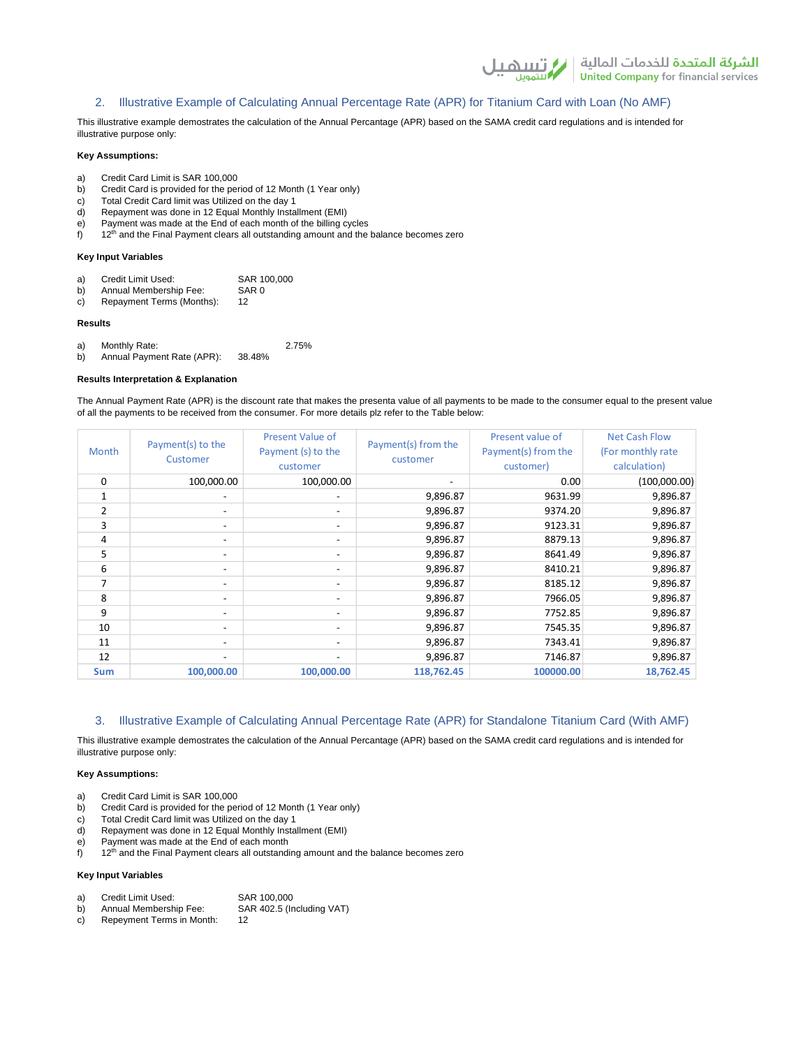## 2. Illustrative Example of Calculating Annual Percentage Rate (APR) for Titanium Card with Loan (No AMF)

This illustrative example demostrates the calculation of the Annual Percantage (APR) based on the SAMA credit card regulations and is intended for illustrative purpose only:

#### **Key Assumptions:**

- a) Credit Card Limit is SAR 100,000
- b) Credit Card is provided for the period of 12 Month (1 Year only)
- c) Total Credit Card limit was Utilized on the day 1
- d) Repayment was done in 12 Equal Monthly Installment (EMI)
- e) Payment was made at the End of each month of the billing cycles
- $f$  12<sup>th</sup> and the Final Payment clears all outstanding amount and the balance becomes zero

#### **Key Input Variables**

- a) Credit Limit Used: SAR 100,000<br>b) Annual Membership Fee: SAR 0
- b) Annual Membership Fee: SA<br>c) Repayment Terms (Months): 12 c) Repayment Terms (Months):

#### **Results**

a) Monthly Rate: 2.75%<br>b) Annual Payment Rate (APR): 38.48%

b) Annual Payment Rate (APR):

#### **Results Interpretation & Explanation**

The Annual Payment Rate (APR) is the discount rate that makes the presenta value of all payments to be made to the consumer equal to the present value of all the payments to be received from the consumer. For more details plz refer to the Table below:

| Month      | Payment(s) to the<br>Customer | Present Value of<br>Payment (s) to the<br>customer | Payment(s) from the<br>customer | Present value of<br>Payment(s) from the<br>customer) | <b>Net Cash Flow</b><br>(For monthly rate)<br>calculation) |
|------------|-------------------------------|----------------------------------------------------|---------------------------------|------------------------------------------------------|------------------------------------------------------------|
| 0          | 100,000.00                    | 100,000.00                                         |                                 | 0.00                                                 | (100,000.00)                                               |
|            |                               |                                                    | 9,896.87                        | 9631.99                                              | 9,896.87                                                   |
| 2          | $\overline{\phantom{0}}$      | $\overline{\phantom{a}}$                           | 9,896.87                        | 9374.20                                              | 9,896.87                                                   |
| 3          | $\overline{\phantom{0}}$      | $\overline{\phantom{a}}$                           | 9,896.87                        | 9123.31                                              | 9,896.87                                                   |
| 4          |                               | $\overline{\phantom{0}}$                           | 9,896.87                        | 8879.13                                              | 9,896.87                                                   |
| 5          | $\overline{\phantom{0}}$      | $\overline{\phantom{a}}$                           | 9,896.87                        | 8641.49                                              | 9,896.87                                                   |
| 6          | $\overline{\phantom{0}}$      | $\overline{\phantom{a}}$                           | 9,896.87                        | 8410.21                                              | 9,896.87                                                   |
| 7          | $\overline{\phantom{0}}$      | $\overline{\phantom{a}}$                           | 9,896.87                        | 8185.12                                              | 9,896.87                                                   |
| 8          | $\overline{\phantom{0}}$      | $\overline{\phantom{a}}$                           | 9,896.87                        | 7966.05                                              | 9,896.87                                                   |
| 9          |                               | $\overline{\phantom{0}}$                           | 9,896.87                        | 7752.85                                              | 9,896.87                                                   |
| 10         |                               | $\overline{\phantom{0}}$                           | 9,896.87                        | 7545.35                                              | 9,896.87                                                   |
| 11         | $\overline{\phantom{0}}$      | $\overline{\phantom{a}}$                           | 9,896.87                        | 7343.41                                              | 9,896.87                                                   |
| 12         |                               | $\overline{\phantom{a}}$                           | 9,896.87                        | 7146.87                                              | 9,896.87                                                   |
| <b>Sum</b> | 100,000.00                    | 100,000.00                                         | 118,762.45                      | 100000.00                                            | 18,762.45                                                  |

## 3. Illustrative Example of Calculating Annual Percentage Rate (APR) for Standalone Titanium Card (With AMF)

This illustrative example demostrates the calculation of the Annual Percantage (APR) based on the SAMA credit card regulations and is intended for illustrative purpose only:

#### **Key Assumptions:**

- a) Credit Card Limit is SAR 100,000
- b) Credit Card is provided for the period of 12 Month (1 Year only)
- c) Total Credit Card limit was Utilized on the day 1
- d) Repayment was done in 12 Equal Monthly Installment (EMI)
- e) Payment was made at the End of each month
- $f$  12<sup>th</sup> and the Final Payment clears all outstanding amount and the balance becomes zero

## **Key Input Variables**

| a) | Credit Limit Used: | SAR 100,000 |  |
|----|--------------------|-------------|--|
|----|--------------------|-------------|--|

- b) Annual Membership Fee: SAR 402.5 (Including VAT)
- c) Repeyment Terms in Month: 12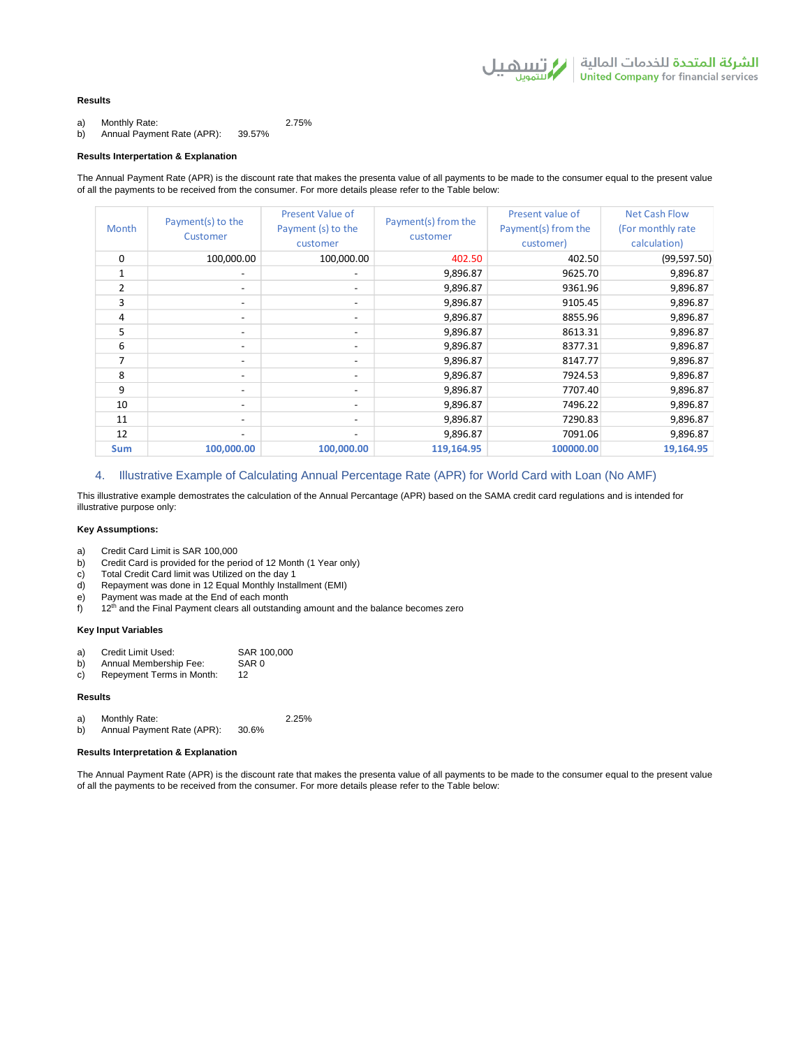الشركة المتحدة للخدمات المالية | / التسلط لل<br>United Company for financial services

## **Results**

a) Monthly Rate: 2.75%

b) Annual Payment Rate (APR): 39.57%

#### **Results Interpertation & Explanation**

The Annual Payment Rate (APR) is the discount rate that makes the presenta value of all payments to be made to the consumer equal to the present value of all the payments to be received from the consumer. For more details please refer to the Table below:

| Month        | Payment(s) to the<br>Customer | <b>Present Value of</b><br>Payment (s) to the<br>customer | Payment(s) from the<br>customer | Present value of<br>Payment(s) from the<br>customer) | <b>Net Cash Flow</b><br>(For monthly rate)<br>calculation) |
|--------------|-------------------------------|-----------------------------------------------------------|---------------------------------|------------------------------------------------------|------------------------------------------------------------|
| 0            | 100,000.00                    | 100,000.00                                                | 402.50                          | 402.50                                               | (99, 597.50)                                               |
| $\mathbf{1}$ | -                             | $\overline{\phantom{a}}$                                  | 9,896.87                        | 9625.70                                              | 9,896.87                                                   |
| 2            | $\overline{\phantom{0}}$      | $\overline{\phantom{a}}$                                  | 9,896.87                        | 9361.96                                              | 9,896.87                                                   |
| 3            | $\overline{\phantom{0}}$      | $\overline{\phantom{a}}$                                  | 9,896.87                        | 9105.45                                              | 9,896.87                                                   |
| 4            | -                             | $\overline{\phantom{a}}$                                  | 9,896.87                        | 8855.96                                              | 9,896.87                                                   |
| 5            | $\overline{\phantom{0}}$      | $\overline{\phantom{a}}$                                  | 9,896.87                        | 8613.31                                              | 9,896.87                                                   |
| 6            | -                             | $\overline{\phantom{a}}$                                  | 9,896.87                        | 8377.31                                              | 9,896.87                                                   |
| 7            | $\overline{\phantom{0}}$      | $\overline{\phantom{a}}$                                  | 9,896.87                        | 8147.77                                              | 9,896.87                                                   |
| 8            | $\overline{\phantom{0}}$      | $\overline{\phantom{a}}$                                  | 9,896.87                        | 7924.53                                              | 9,896.87                                                   |
| 9            | $\overline{\phantom{0}}$      | $\qquad \qquad$                                           | 9,896.87                        | 7707.40                                              | 9,896.87                                                   |
| 10           | $\overline{\phantom{0}}$      | $\overline{\phantom{a}}$                                  | 9,896.87                        | 7496.22                                              | 9,896.87                                                   |
| 11           | -                             | $\overline{\phantom{a}}$                                  | 9,896.87                        | 7290.83                                              | 9,896.87                                                   |
| 12           | -                             | $\overline{\phantom{a}}$                                  | 9,896.87                        | 7091.06                                              | 9,896.87                                                   |
| <b>Sum</b>   | 100,000.00                    | 100,000.00                                                | 119,164.95                      | 100000.00                                            | 19,164.95                                                  |

## 4. Illustrative Example of Calculating Annual Percentage Rate (APR) for World Card with Loan (No AMF)

This illustrative example demostrates the calculation of the Annual Percantage (APR) based on the SAMA credit card regulations and is intended for illustrative purpose only:

### **Key Assumptions:**

- a) Credit Card Limit is SAR 100,000
- b) Credit Card is provided for the period of 12 Month (1 Year only)
- c) Total Credit Card limit was Utilized on the day 1
- d) Repayment was done in 12 Equal Monthly Installment (EMI)
- e) Payment was made at the End of each month
- $f$  12<sup>th</sup> and the Final Payment clears all outstanding amount and the balance becomes zero

### **Key Input Variables**

- a) Credit Limit Used: SAR 100,000<br>b) Annual Membership Fee: SAR 0
- b) Annual Membership Fee: SA<br>c) Repeyment Terms in Month: 12 c) Repeyment Terms in Month:
- 

#### **Results**

a) Monthly Rate: 2.25%<br>b) Annual Payment Rate (APR): 30.6%

b) Annual Payment Rate (APR):

#### **Results Interpretation & Explanation**

The Annual Payment Rate (APR) is the discount rate that makes the presenta value of all payments to be made to the consumer equal to the present value of all the payments to be received from the consumer. For more details please refer to the Table below: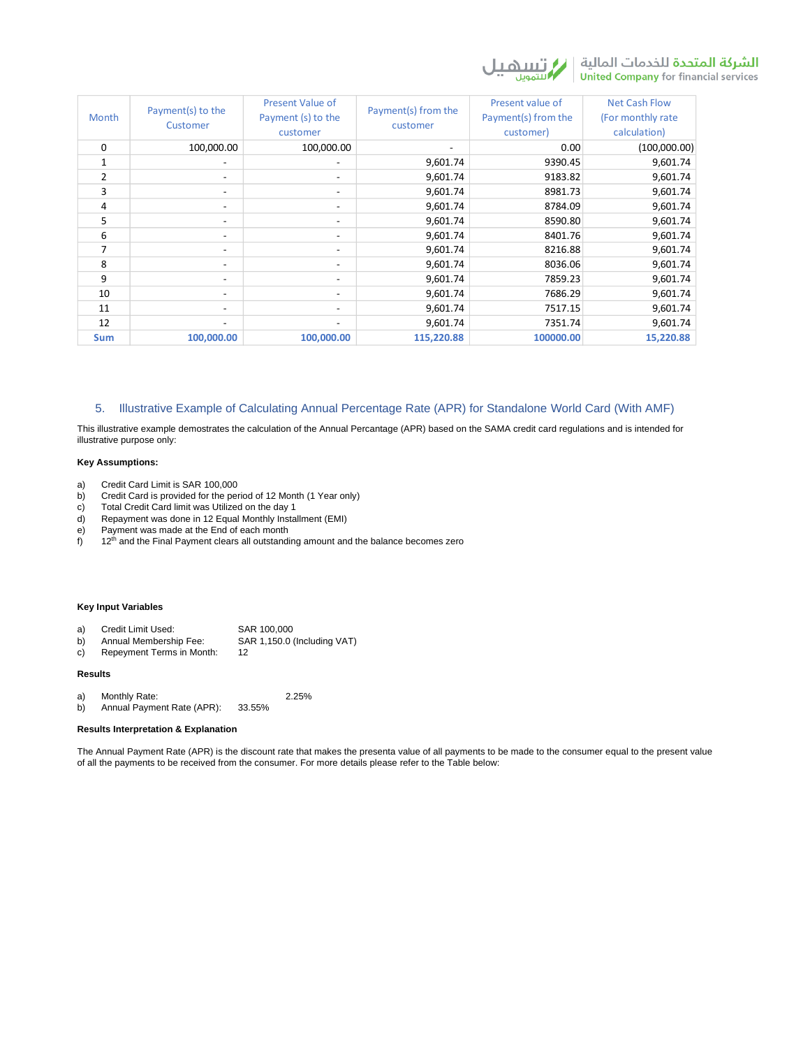

| Month        | Payment(s) to the<br>Customer | <b>Present Value of</b><br>Payment (s) to the<br>customer | Payment(s) from the<br>customer | Present value of<br>Payment(s) from the<br>customer) | <b>Net Cash Flow</b><br>(For monthly rate)<br>calculation) |
|--------------|-------------------------------|-----------------------------------------------------------|---------------------------------|------------------------------------------------------|------------------------------------------------------------|
| 0            | 100,000.00                    | 100,000.00                                                | $\overline{\phantom{a}}$        | 0.00                                                 | (100,000.00)                                               |
| $\mathbf{1}$ |                               |                                                           | 9,601.74                        | 9390.45                                              | 9,601.74                                                   |
| 2            | $\overline{\phantom{0}}$      | $\overline{\phantom{0}}$                                  | 9,601.74                        | 9183.82                                              | 9,601.74                                                   |
| 3            | $\overline{\phantom{0}}$      | $\overline{\phantom{a}}$                                  | 9,601.74                        | 8981.73                                              | 9,601.74                                                   |
| 4            | $\overline{\phantom{0}}$      | -                                                         | 9,601.74                        | 8784.09                                              | 9,601.74                                                   |
| 5            | $\overline{\phantom{a}}$      | $\qquad \qquad \blacksquare$                              | 9,601.74                        | 8590.80                                              | 9,601.74                                                   |
| 6            | $\overline{\phantom{0}}$      | $\overline{\phantom{a}}$                                  | 9,601.74                        | 8401.76                                              | 9,601.74                                                   |
| 7            | $\overline{\phantom{0}}$      | $\overline{\phantom{a}}$                                  | 9,601.74                        | 8216.88                                              | 9,601.74                                                   |
| 8            | $\overline{\phantom{0}}$      | $\overline{\phantom{a}}$                                  | 9,601.74                        | 8036.06                                              | 9,601.74                                                   |
| 9            | $\overline{\phantom{0}}$      |                                                           | 9,601.74                        | 7859.23                                              | 9,601.74                                                   |
| 10           | $\overline{\phantom{0}}$      | $\overline{\phantom{0}}$                                  | 9,601.74                        | 7686.29                                              | 9,601.74                                                   |
| 11           | $\overline{\phantom{0}}$      | $\qquad \qquad$                                           | 9,601.74                        | 7517.15                                              | 9,601.74                                                   |
| 12           | $\overline{\phantom{0}}$      | $\overline{\phantom{a}}$                                  | 9,601.74                        | 7351.74                                              | 9,601.74                                                   |
| <b>Sum</b>   | 100,000.00                    | 100,000.00                                                | 115,220.88                      | 100000.00                                            | 15,220.88                                                  |

## 5. Illustrative Example of Calculating Annual Percentage Rate (APR) for Standalone World Card (With AMF)

This illustrative example demostrates the calculation of the Annual Percantage (APR) based on the SAMA credit card regulations and is intended for illustrative purpose only:

## **Key Assumptions:**

- a) Credit Card Limit is SAR 100,000
- b) Credit Card is provided for the period of 12 Month (1 Year only)
- c) Total Credit Card limit was Utilized on the day 1
- d) Repayment was done in 12 Equal Monthly Installment (EMI)
- e) Payment was made at the End of each month
- $f$  12<sup>th</sup> and the Final Payment clears all outstanding amount and the balance becomes zero

## **Key Input Variables**

| a) | Credit Limit Used:     | SAR 100,000                 |
|----|------------------------|-----------------------------|
| b) | Annual Membership Fee: | SAR 1,150.0 (Including VAT) |

c) Repeyment Terms in Month: 12

#### **Results**

a) Monthly Rate: 2.25%<br>b) Annual Payment Rate (APR): 33.55% b) Annual Payment Rate (APR):

## **Results Interpretation & Explanation**

The Annual Payment Rate (APR) is the discount rate that makes the presenta value of all payments to be made to the consumer equal to the present value of all the payments to be received from the consumer. For more details please refer to the Table below: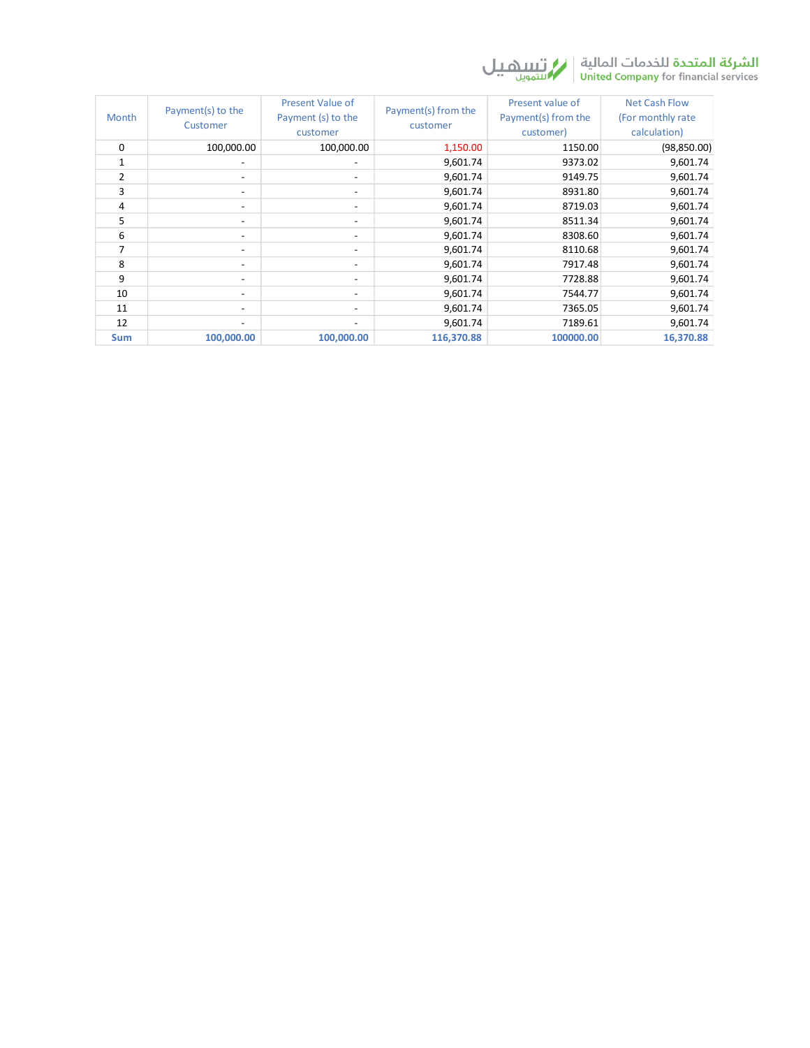

| <b>Month</b>   | Payment(s) to the<br>Customer | <b>Present Value of</b><br>Payment (s) to the<br>customer | Payment(s) from the<br>customer | Present value of<br>Payment(s) from the<br>customer) | <b>Net Cash Flow</b><br>(For monthly rate)<br>calculation) |
|----------------|-------------------------------|-----------------------------------------------------------|---------------------------------|------------------------------------------------------|------------------------------------------------------------|
| 0              | 100,000.00                    | 100,000.00                                                | 1,150.00                        | 1150.00                                              | (98, 850.00)                                               |
| 1              | $\overline{\phantom{a}}$      | $\overline{\phantom{0}}$                                  | 9,601.74                        | 9373.02                                              | 9,601.74                                                   |
| $\overline{2}$ | $\overline{\phantom{0}}$      | $\overline{\phantom{0}}$                                  | 9,601.74                        | 9149.75                                              | 9,601.74                                                   |
| 3              | $\overline{\phantom{a}}$      | $\overline{\phantom{0}}$                                  | 9,601.74                        | 8931.80                                              | 9,601.74                                                   |
| 4              | $\overline{\phantom{0}}$      | $\overline{\phantom{0}}$                                  | 9,601.74                        | 8719.03                                              | 9,601.74                                                   |
| 5              | $\overline{\phantom{a}}$      | $\overline{\phantom{0}}$                                  | 9,601.74                        | 8511.34                                              | 9,601.74                                                   |
| 6              | $\overline{\phantom{a}}$      | $\overline{\phantom{a}}$                                  | 9,601.74                        | 8308.60                                              | 9,601.74                                                   |
| 7              | $\overline{\phantom{a}}$      | $\overline{\phantom{a}}$                                  | 9,601.74                        | 8110.68                                              | 9,601.74                                                   |
| 8              | $\overline{\phantom{0}}$      | $\overline{\phantom{0}}$                                  | 9,601.74                        | 7917.48                                              | 9,601.74                                                   |
| 9              | $\overline{\phantom{a}}$      | $\overline{\phantom{0}}$                                  | 9,601.74                        | 7728.88                                              | 9,601.74                                                   |
| 10             | $\overline{\phantom{a}}$      | -                                                         | 9,601.74                        | 7544.77                                              | 9,601.74                                                   |
| 11             | $\overline{\phantom{a}}$      | $\overline{\phantom{a}}$                                  | 9,601.74                        | 7365.05                                              | 9,601.74                                                   |
| 12             | -                             | $\overline{\phantom{a}}$                                  | 9,601.74                        | 7189.61                                              | 9,601.74                                                   |
| <b>Sum</b>     | 100,000.00                    | 100,000.00                                                | 116,370.88                      | 100000.00                                            | 16,370.88                                                  |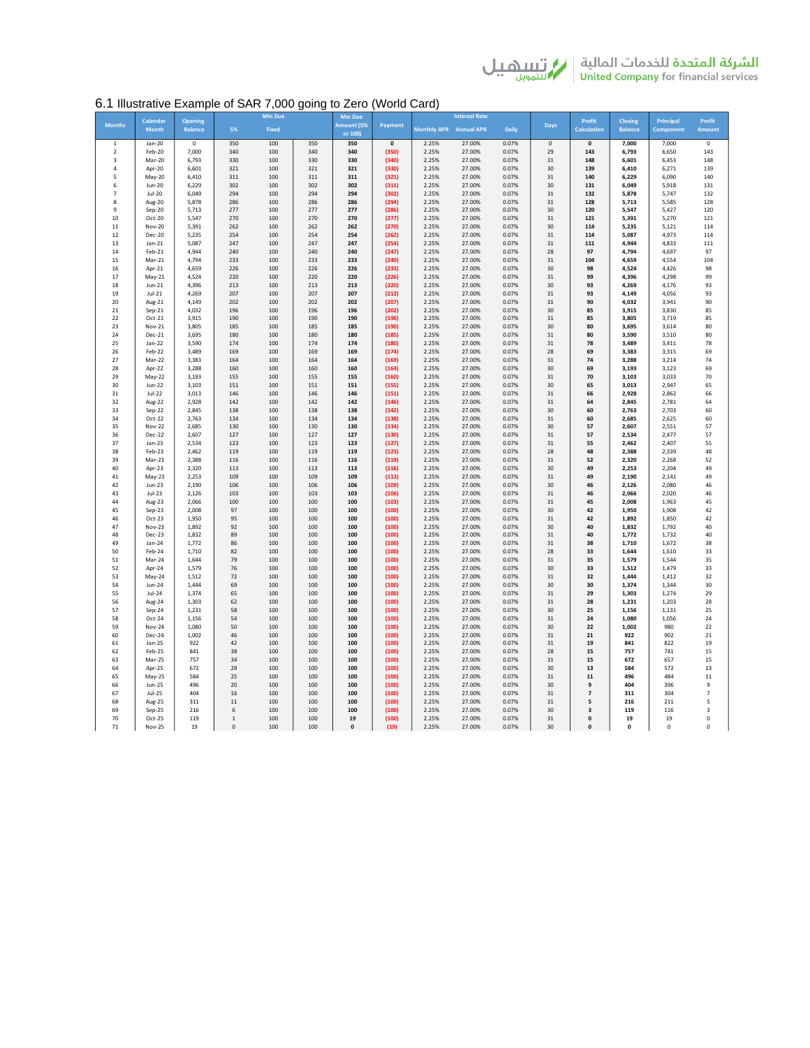# 6.1 Illustrative Example of SAR 7,000 going to Zero (World Card)

|                     | Calender           | <b>Opening</b> |              | <b>Min Due</b> |            | <b>Min Due</b>        |                |                        | <b>Interest Rate</b> |                |             | Profit              | Closing        | Principal      | Profit              |
|---------------------|--------------------|----------------|--------------|----------------|------------|-----------------------|----------------|------------------------|----------------------|----------------|-------------|---------------------|----------------|----------------|---------------------|
| <b>Months</b>       | <b>Month</b>       | <b>Balance</b> | 5%           | Fixed          |            | Amount (5%<br>or 100) | Payment        | Monthly APR Annual APR |                      | Daily          | Days        | <b>Calculation</b>  | <b>Balance</b> | Component      | Amount              |
| $\,1\,$             | Jan-20             | $\mathbf 0$    | 350          | 100            | 350        | 350                   | $\mathbf{0}$   | 2.25%                  | 27.00%               | 0.07%          | $\mathsf 0$ | $\mathbf{0}$        | 7,000          | 7,000          | $\mathsf 0$         |
| $\overline{2}$<br>3 | Feb-20<br>Mar-20   | 7,000<br>6,793 | 340<br>330   | 100<br>100     | 340<br>330 | 340<br>330            | (350)<br>(340) | 2.25%<br>2.25%         | 27.00%<br>27.00%     | 0.07%<br>0.07% | 29<br>31    | 143<br>148          | 6,793<br>6,601 | 6,650<br>6,453 | 143<br>148          |
| $\overline{4}$      | Apr-20             | 6.601          | 321          | 100            | 321        | 321                   | (330)          | 2.25%                  | 27.00%               | 0.07%          | 30          | 139                 | 6,410          | 6,271          | 139                 |
| 5                   | May-20             | 6,410          | 311          | 100            | 311        | 311                   | (321)          | 2.25%                  | 27.00%               | 0.07%          | 31          | 140                 | 6,229          | 6,090          | 140                 |
| 6                   | Jun-20             | 6,229          | 302          | 100            | 302        | 302                   | (311)          | 2.25%                  | 27.00%               | 0.07%          | 30          | 131                 | 6,049          | 5,918          | 131                 |
| $\overline{7}$      | Jul-20             | 6.049          | 294          | 100            | 294        | 294                   | (302)          | 2.25%                  | 27.00%               | 0.07%          | 31          | 132                 | 5,878          | 5,747          | 132                 |
| 8<br>9              | Aug-20             | 5,878          | 286          | 100<br>100     | 286        | 286                   | (294)          | 2.25%                  | 27.00%               | 0.07%<br>0.07% | 31<br>30    | 128                 | 5,713          | 5,585          | 128                 |
| 10                  | Sep-20<br>Oct-20   | 5,713<br>5,547 | 277<br>270   | 100            | 277<br>270 | 277<br>270            | (286)<br>(277) | 2.25%<br>2.25%         | 27.00%<br>27.00%     | 0.07%          | 31          | 120<br>121          | 5,547<br>5,391 | 5,427<br>5,270 | 120<br>121          |
| $11\,$              | Nov-20             | 5,391          | 262          | 100            | 262        | 262                   | (270)          | 2.25%                  | 27.00%               | 0.07%          | 30          | 114                 | 5,235          | 5,121          | 114                 |
| 12                  | Dec-20             | 5,235          | 254          | 100            | 254        | 254                   | (262)          | 2.25%                  | 27.00%               | 0.07%          | 31          | 114                 | 5.087          | 4,973          | 114                 |
| 13                  | $Jan-21$           | 5,087          | 247          | 100            | 247        | 247                   | (254)          | 2.25%                  | 27.00%               | 0.07%          | 31          | 111                 | 4,944          | 4,833          | 111                 |
| 14                  | Feb-21             | 4,944          | 240          | 100            | 240        | 240                   | (247)          | 2.25%                  | 27.00%               | 0.07%          | 28          | 97                  | 4,794          | 4,697          | 97                  |
| 15                  | Mar-21             | 4,794          | 233          | 100            | 233        | 233                   | (240)          | 2.25%                  | 27.00%               | 0.07%          | 31          | 104                 | 4,659          | 4,554          | 104                 |
| 16<br>17            | Apr-21<br>$May-21$ | 4.659<br>4,524 | 226<br>220   | 100<br>100     | 226<br>220 | 226<br>220            | (233)<br>(226) | 2.25%<br>2.25%         | 27.00%<br>27.00%     | 0.07%<br>0.07% | 30<br>31    | 98<br>99            | 4.524<br>4,396 | 4,426<br>4,298 | 98<br>99            |
| 18                  | Jun-21             | 4,396          | 213          | 100            | 213        | 213                   | (220)          | 2.25%                  | 27.00%               | 0.07%          | 30          | 93                  | 4,269          | 4,176          | 93                  |
| 19                  | $Jul-21$           | 4,269          | 207          | 100            | 207        | 207                   | (213)          | 2.25%                  | 27.00%               | 0.07%          | 31          | 93                  | 4,149          | 4,056          | 93                  |
| 20                  | Aug-21             | 4.149          | 202          | 100            | 202        | 202                   | (207)          | 2.25%                  | 27.00%               | 0.07%          | 31          | 90                  | 4,032          | 3.941          | 90                  |
| 21                  | $Sep-21$           | 4,032          | 196          | 100            | 196        | 196                   | (202)          | 2.25%                  | 27.00%               | 0.07%          | 30          | 85                  | 3,915          | 3,830          | 85                  |
| 22                  | Oct-21             | 3,915          | 190          | 100            | 190        | 190                   | (196)          | 2.25%                  | 27.00%               | 0.07%          | 31          | 85                  | 3,805          | 3,719          | 85                  |
| 23<br>24            | Nov-21<br>Dec-21   | 3,805<br>3.695 | 185<br>180   | 100<br>100     | 185<br>180 | 185<br>180            | (190)          | 2.25%<br>2.25%         | 27.00%<br>27.00%     | 0.07%<br>0.07% | 30<br>31    | 80<br>80            | 3,695<br>3,590 | 3.614          | 80<br>80            |
| 25                  | $lan-22$           | 3.590          | 174          | 100            | 174        | 174                   | (185)<br>(180) | 2.25%                  | 27.00%               | 0.07%          | 31          | 78                  | 3.489          | 3,510<br>3.411 | 78                  |
| 26                  | Feb-22             | 3,489          | 169          | 100            | 169        | 169                   | (174)          | 2.25%                  | 27.00%               | 0.07%          | 28          | 69                  | 3,383          | 3.315          | 69                  |
| 27                  | Mar-22             | 3.383          | 164          | 100            | 164        | 164                   | (169)          | 2.25%                  | 27.00%               | 0.07%          | 31          | 74                  | 3,288          | 3.214          | 74                  |
| 28                  | Apr-22             | 3.288          | 160          | 100            | 160        | 160                   | (164)          | 2.25%                  | 27.00%               | 0.07%          | 30          | 69                  | 3.193          | 3.123          | 69                  |
| 29                  | $May-22$           | 3.193          | 155          | 100            | 155        | 155                   | (160)          | 2.25%                  | 27.00%               | 0.07%          | 31          | 70                  | 3.103          | 3,033          | 70                  |
| 30<br>31            | Jun-22<br>$Jul-22$ | 3,103<br>3.013 | 151<br>146   | 100<br>100     | 151<br>146 | 151<br>146            | (155)<br>(151) | 2.25%<br>2.25%         | 27.00%<br>27.00%     | 0.07%<br>0.07% | 30<br>31    | 65<br>66            | 3,013<br>2,928 | 2.947<br>2.862 | 65<br>66            |
| 32                  | Aug-22             | 2.928          | 142          | 100            | 142        | 142                   | (146)          | 2.25%                  | 27.00%               | 0.07%          | 31          | 64                  | 2.845          | 2.781          | 64                  |
| 33                  | Sep-22             | 2.845          | 138          | 100            | 138        | 138                   | (142)          | 2.25%                  | 27.00%               | 0.07%          | 30          | 60                  | 2,763          | 2.703          | 60                  |
| 34                  | Oct-22             | 2.763          | 134          | 100            | 134        | 134                   | (138)          | 2.25%                  | 27.00%               | 0.07%          | 31          | 60                  | 2.685          | 2.625          | 60                  |
| 35                  | <b>Nov-22</b>      | 2.685          | 130          | 100            | 130        | 130                   | (134)          | 2.25%                  | 27.00%               | 0.07%          | 30          | 57                  | 2.607          | 2.551          | 57                  |
| 36                  | Dec-22             | 2.607          | 127          | 100            | 127        | 127                   | (130)          | 2.25%                  | 27.00%               | 0.07%          | 31          | 57                  | 2.534          | 2.477          | 57                  |
| 37                  | $lan-23$           | 2.534          | 123          | 100            | 123        | 123                   | (127)          | 2.25%                  | 27.00%               | 0.07%          | 31          | 55                  | 2,462          | 2,407          | 55                  |
| 38<br>39            | Feb-23<br>Mar-23   | 2.462<br>2.388 | 119<br>116   | 100<br>100     | 119<br>116 | 119<br>116            | (123)<br>(119) | 2.25%<br>2.25%         | 27.00%<br>27.00%     | 0.07%<br>0.07% | 28<br>31    | 48<br>52            | 2,388<br>2.320 | 2.339<br>2.268 | 48<br>52            |
| 40                  | Apr-23             | 2.320          | 113          | 100            | 113        | 113                   | (116)          | 2.25%                  | 27.00%               | 0.07%          | 30          | 49                  | 2.253          | 2.204          | 49                  |
| 41                  | May-23             | 2.253          | 109          | 100            | 109        | 109                   | (113)          | 2.25%                  | 27.00%               | 0.07%          | 31          | 49                  | 2,190          | 2.141          | 49                  |
| 42                  | Jun-23             | 2.190          | 106          | 100            | 106        | 106                   | (109)          | 2.25%                  | 27.00%               | 0.07%          | 30          | 46                  | 2.126          | 2.080          | 46                  |
| 43                  | Jul-23             | 2,126          | 103          | 100            | 103        | 103                   | (106)          | 2.25%                  | 27.00%               | 0.07%          | 31          | 46                  | 2,066          | 2,020          | 46                  |
| 44                  | Aug-23             | 2.066          | 100          | 100            | 100        | 100                   | (103)          | 2.25%                  | 27.00%               | 0.07%          | 31          | 45                  | 2.008          | 1.963          | 45                  |
| 45<br>46            | Sep-23<br>Oct-23   | 2.008<br>1.950 | 97<br>95     | 100<br>100     | 100<br>100 | 100<br>100            | (100)<br>(100) | 2.25%<br>2.25%         | 27.00%<br>27.00%     | 0.07%<br>0.07% | 30<br>31    | 42<br>42            | 1.950<br>1,892 | 1.908<br>1,850 | 42<br>42            |
| 47                  | Nov-23             | 1.892          | 92           | 100            | 100        | 100                   | (100)          | 2.25%                  | 27.00%               | 0.07%          | 30          | 40                  | 1.832          | 1,792          | 40                  |
| 48                  | Dec-23             | 1.832          | 89           | 100            | 100        | 100                   | (100)          | 2.25%                  | 27.00%               | 0.07%          | 31          | 40                  | 1,772          | 1,732          | 40                  |
| 49                  | $Jan-24$           | 1.772          | 86           | 100            | 100        | 100                   | (100)          | 2.25%                  | 27.00%               | 0.07%          | 31          | 38                  | 1,710          | 1,672          | 38                  |
| 50                  | Feb-24             | 1,710          | 82           | 100            | 100        | 100                   | (100)          | 2.25%                  | 27.00%               | 0.07%          | 28          | 33                  | 1,644          | 1,610          | 33                  |
| 51                  | Mar-24             | 1.644          | 79           | 100            | 100        | 100                   | (100)          | 2.25%                  | 27.00%               | 0.07%          | 31          | 35                  | 1.579          | 1,544          | 35                  |
| 52                  | Apr-24             | 1.579          | 76<br>72     | 100<br>100     | 100<br>100 | 100                   | (100)          | 2.25%                  | 27.00%               | 0.07%<br>0.07% | 30<br>31    | 33<br>32            | 1,512          | 1,479          | 33                  |
| 53<br>54            | May-24<br>Jun-24   | 1,512<br>1,444 | 69           | 100            | 100        | 100<br>100            | (100)<br>(100) | 2.25%<br>2.25%         | 27.00%<br>27.00%     | 0.07%          | 30          | 30                  | 1,444<br>1,374 | 1,412<br>1,344 | 32<br>30            |
| 55                  | Jul-24             | 1.374          | 65           | 100            | 100        | 100                   | (100)          | 2.25%                  | 27.00%               | 0.07%          | 31          | 29                  | 1.303          | 1,274          | 29                  |
| 56                  | Aug-24             | 1.303          | 62           | 100            | 100        | 100                   | (100)          | 2.25%                  | 27.00%               | 0.07%          | 31          | 28                  | 1,231          | 1,203          | 28                  |
| 57                  | Sep-24             | 1,231          | 58           | 100            | 100        | 100                   | (100)          | 2.25%                  | 27.00%               | 0.07%          | 30          | 25                  | 1,156          | 1,131          | 25                  |
| 58                  | Oct-24             | 1,156          | 54           | 100            | 100        | 100                   | (100)          | 2.25%                  | 27.00%               | 0.07%          | 31          | 24                  | 1,080          | 1,056          | 24                  |
| 59<br>60            | <b>Nov-24</b>      | 1.080<br>1.002 | 50<br>46     | 100<br>100     | 100<br>100 | 100                   | (100)          | 2.25%<br>2.25%         | 27.00%               | 0.07%<br>0.07% | 30<br>31    | 22<br>21            | 1.002<br>922   | 980<br>902     | 22<br>21            |
| 61                  | Dec-24<br>Jan-25   | 922            | 42           | 100            | 100        | 100<br>100            | (100)<br>(100) | 2.25%                  | 27.00%<br>27.00%     | 0.07%          | 31          | 19                  | 841            | 822            | 19                  |
| 62                  | Feb-25             | 841            | 38           | 100            | 100        | 100                   | (100)          | 2.25%                  | 27.00%               | 0.07%          | 28          | 15                  | 757            | 741            | 15                  |
| 63                  | Mar-25             | 757            | 34           | 100            | 100        | 100                   | (100)          | 2.25%                  | 27.00%               | 0.07%          | 31          | 15                  | 672            | 657            | 15                  |
| 64                  | Apr-25             | 672            | 29           | 100            | 100        | 100                   | (100)          | 2.25%                  | 27.00%               | 0.07%          | 30          | 13                  | 584            | 572            | 13                  |
| 65                  | May-25             | 584            | 25           | 100            | 100        | 100                   | (100)          | 2.25%                  | 27.00%               | 0.07%          | 31          | 11                  | 496            | 484            | $11\,$              |
| 66<br>67            | Jun-25<br>Jul-25   | 496<br>404     | 20<br>16     | 100<br>100     | 100<br>100 | 100<br>100            | (100)<br>(100) | 2.25%<br>2.25%         | 27.00%<br>27.00%     | 0.07%<br>0.07% | 30<br>31    | 9<br>$\overline{7}$ | 404<br>311     | 396<br>304     | 9<br>$\overline{7}$ |
| 68                  | Aug-25             | 311            | $11\,$       | 100            | 100        | 100                   | (100)          | 2.25%                  | 27.00%               | 0.07%          | 31          | 5                   | 216            | 211            | 5                   |
| 69                  | Sep-25             | 216            | 6            | 100            | 100        | 100                   | (100)          | 2.25%                  | 27.00%               | 0.07%          | 30          | 3                   | 119            | 116            | 3                   |
| 70                  | Oct-25             | 119            | $\mathbf{1}$ | 100            | 100        | 19                    | (100)          | 2.25%                  | 27.00%               | 0.07%          | 31          | 0                   | 19             | 19             | 0                   |
| 71                  | <b>Nov-25</b>      | 19             | $\mathbf 0$  | 100            | 100        | $\mathbf 0$           | (19)           | 2.25%                  | 27.00%               | 0.07%          | 30          | 0                   | $\mathbf 0$    | $\mathbf 0$    | 0                   |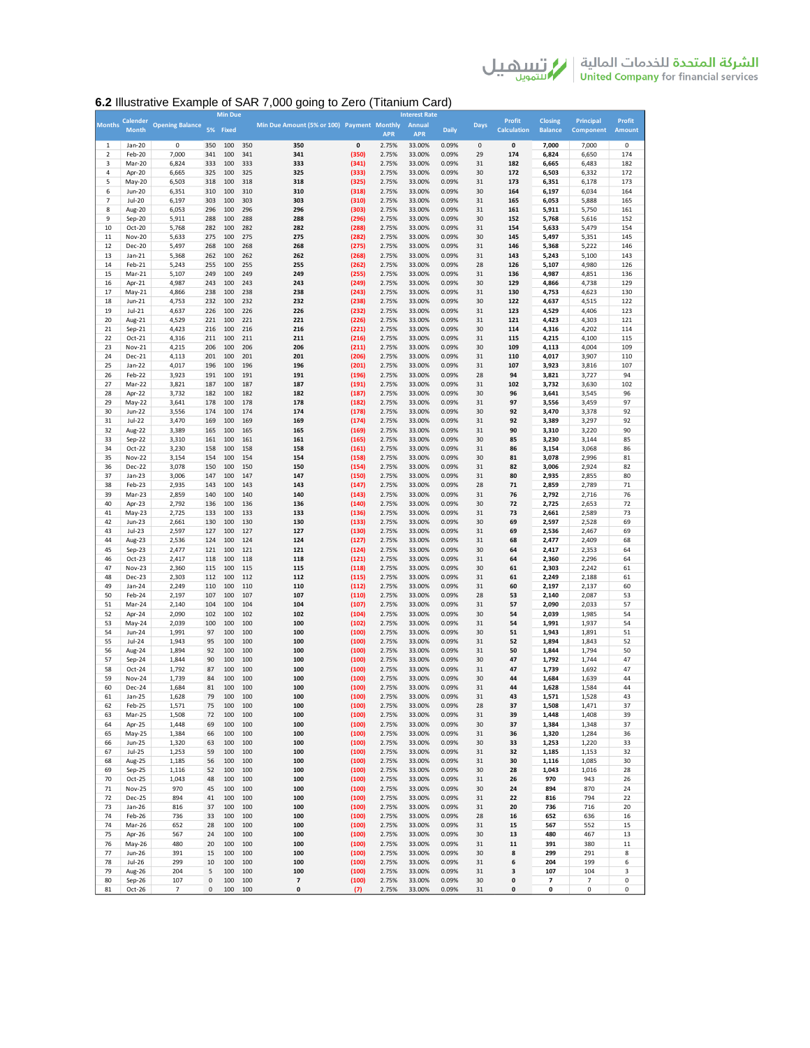الشركة المتحدة للخدمات المالية | من السلام الى السلام الى السلام الى السلام الى السلام الى السلام ال<br>United Company for financial services

## **6.2** Illustrative Example of SAR 7,000 going to Zero (Titanium Card)

|               |                 |                        |     | <b>Min Due</b> |     |                                            |       |            | <b>Interest Rate</b> |              |             |                    |                |           |               |
|---------------|-----------------|------------------------|-----|----------------|-----|--------------------------------------------|-------|------------|----------------------|--------------|-------------|--------------------|----------------|-----------|---------------|
| <b>Months</b> | <b>Calender</b> | <b>Opening Balance</b> |     |                |     | Min Due Amount (5% or 100) Payment Monthly |       |            | Annual               |              | <b>Days</b> | <b>Profit</b>      | <b>Closing</b> | Principal | Profit        |
|               | <b>Month</b>    |                        |     | 5% Fixed       |     |                                            |       | <b>APR</b> | <b>APR</b>           | <b>Daily</b> |             | <b>Calculation</b> | <b>Balance</b> | Component | <b>Amount</b> |
| $\mathbf{1}$  | Jan-20          | 0                      | 350 | 100            | 350 | 350                                        | 0     | 2.75%      | 33.00%               | 0.09%        | $\mathbf 0$ | 0                  | 7,000          | 7,000     | 0             |
| 2             | Feb-20          | 7,000                  | 341 | 100            | 341 | 341                                        | (350) | 2.75%      | 33.00%               | 0.09%        | 29          | 174                | 6,824          | 6,650     | 174           |
| 3             | Mar-20          | 6,824                  | 333 | 100            | 333 | 333                                        | (341) | 2.75%      | 33.00%               | 0.09%        | 31          | 182                | 6,665          | 6,483     | 182           |
| 4             | Apr-20          | 6,665                  | 325 | 100            | 325 | 325                                        | (333) | 2.75%      | 33.00%               | 0.09%        | 30          | 172                | 6,503          | 6,332     | 172           |
| 5             | May-20          | 6,503                  | 318 | 100            | 318 | 318                                        | (325) | 2.75%      | 33.00%               | 0.09%        | 31          | 173                | 6,351          | 6,178     | 173           |
| 6             | Jun-20          | 6,351                  | 310 | 100            | 310 | 310                                        | (318) | 2.75%      | 33.00%               | 0.09%        | 30          | 164                | 6,197          | 6,034     | 164           |
| 7             | Jul-20          | 6,197                  | 303 | 100            | 303 | 303                                        | (310) | 2.75%      | 33.00%               | 0.09%        | 31          | 165                | 6,053          | 5,888     | 165           |
| 8             | Aug-20          | 6,053                  | 296 | 100            | 296 | 296                                        | (303) | 2.75%      | 33.00%               | 0.09%        | 31          | 161                | 5,911          | 5,750     | 161           |
| 9             |                 | 5,911                  | 288 | 100            | 288 | 288                                        |       | 2.75%      | 33.00%               | 0.09%        | 30          | 152                | 5,768          |           | 152           |
|               | Sep-20          |                        |     |                |     | 282                                        | (296) |            |                      |              |             | 154                |                | 5,616     |               |
| 10            | Oct-20          | 5,768                  | 282 | 100            | 282 |                                            | (288) | 2.75%      | 33.00%               | 0.09%        | 31          |                    | 5,633          | 5,479     | 154           |
| 11            | <b>Nov-20</b>   | 5,633                  | 275 | 100            | 275 | 275                                        | (282) | 2.75%      | 33.00%<br>33.00%     | 0.09%        | 30          | 145                | 5,497          | 5,351     | 145           |
| 12            | Dec-20          | 5,497                  | 268 | 100            | 268 | 268                                        | (275) | 2.75%      |                      | 0.09%        | 31          | 146                | 5,368          | 5,222     | 146           |
| 13            | Jan-21          | 5,368                  | 262 | 100            | 262 | 262                                        | (268) | 2.75%      | 33.00%               | 0.09%        | 31          | 143                | 5,243          | 5,100     | 143           |
| 14            | Feb-21          | 5,243                  | 255 | 100            | 255 | 255                                        | (262) | 2.75%      | 33.00%               | 0.09%        | 28          | 126                | 5,107          | 4,980     | 126           |
| 15            | Mar-21          | 5,107                  | 249 | 100            | 249 | 249                                        | (255) | 2.75%      | 33.00%               | 0.09%        | 31          | 136                | 4,987          | 4,851     | 136           |
| 16            | Apr-21          | 4,987                  | 243 | 100            | 243 | 243                                        | (249) | 2.75%      | 33.00%               | 0.09%        | 30          | 129                | 4,866          | 4,738     | 129           |
| 17            | May-21          | 4,866                  | 238 | 100            | 238 | 238                                        | (243) | 2.75%      | 33.00%               | 0.09%        | 31          | 130                | 4,753          | 4,623     | 130           |
| 18            | Jun-21          | 4,753                  | 232 | 100            | 232 | 232                                        | (238) | 2.75%      | 33.00%               | 0.09%        | 30          | 122                | 4,637          | 4,515     | 122           |
| 19            | Jul-21          | 4,637                  | 226 | 100            | 226 | 226                                        | (232) | 2.75%      | 33.00%               | 0.09%        | 31          | 123                | 4,529          | 4,406     | 123           |
| 20            | Aug-21          | 4,529                  | 221 | 100            | 221 | 221                                        | (226) | 2.75%      | 33.00%               | 0.09%        | 31          | 121                | 4,423          | 4,303     | 121           |
| 21            | Sep-21          | 4,423                  | 216 | 100            | 216 | 216                                        | (221) | 2.75%      | 33.00%               | 0.09%        | 30          | 114                | 4,316          | 4,202     | 114           |
| 22            | Oct-21          | 4,316                  | 211 | 100            | 211 | 211                                        | (216) | 2.75%      | 33.00%               | 0.09%        | 31          | 115                | 4,215          | 4,100     | 115           |
| 23            | Nov-21          | 4,215                  | 206 | 100            | 206 | 206                                        | (211) | 2.75%      | 33.00%               | 0.09%        | 30          | 109                | 4,113          | 4,004     | 109           |
| 24            | Dec-21          | 4,113                  | 201 | 100            | 201 | 201                                        | (206) | 2.75%      | 33.00%               | 0.09%        | 31          | 110                | 4,017          | 3,907     | 110           |
| 25            | Jan-22          | 4,017                  | 196 | 100            | 196 | 196                                        | (201) | 2.75%      | 33.00%               | 0.09%        | 31          | 107                | 3,923          | 3,816     | 107           |
| 26            | Feb-22          | 3,923                  | 191 | 100            | 191 | 191                                        | (196) | 2.75%      | 33.00%               | 0.09%        | 28          | 94                 | 3,821          | 3,727     | 94            |
| 27            | Mar-22          | 3,821                  | 187 | 100            | 187 | 187                                        | (191) | 2.75%      | 33.00%               | 0.09%        | 31          | 102                | 3,732          | 3,630     | 102           |
| 28            | Apr-22          | 3,732                  | 182 | 100            | 182 | 182                                        | (187) | 2.75%      | 33.00%               | 0.09%        | 30          | 96                 | 3,641          | 3,545     | 96            |
| 29            | May-22          | 3,641                  | 178 | 100            | 178 | 178                                        | (182) | 2.75%      | 33.00%               | 0.09%        | 31          | 97                 | 3,556          | 3,459     | 97            |
| 30            | Jun-22          | 3,556                  | 174 | 100            | 174 | 174                                        | (178) | 2.75%      | 33.00%               | 0.09%        | 30          | 92                 | 3,470          | 3,378     | 92            |
| 31            | Jul-22          | 3,470                  | 169 | 100            | 169 | 169                                        | (174) | 2.75%      | 33.00%               | 0.09%        | 31          | 92                 | 3,389          | 3,297     | 92            |
| 32            | Aug-22          | 3,389                  | 165 | 100            | 165 | 165                                        | (169) | 2.75%      | 33.00%               | 0.09%        | 31          | 90                 | 3,310          | 3,220     | 90            |
| 33            |                 | 3,310                  | 161 | 100            | 161 | 161                                        | (165) | 2.75%      | 33.00%               | 0.09%        | 30          | 85                 |                | 3,144     | 85            |
|               | Sep-22          |                        |     |                |     |                                            |       |            | 33.00%               |              |             |                    | 3,230          |           |               |
| 34            | Oct-22          | 3,230                  | 158 | 100            | 158 | 158                                        | (161) | 2.75%      |                      | 0.09%        | 31          | 86                 | 3,154          | 3,068     | 86            |
| 35            | <b>Nov-22</b>   | 3,154                  | 154 | 100            | 154 | 154                                        | (158) | 2.75%      | 33.00%               | 0.09%        | 30          | 81                 | 3,078          | 2,996     | 81            |
| 36            | Dec-22          | 3,078                  | 150 | 100            | 150 | 150                                        | (154) | 2.75%      | 33.00%               | 0.09%        | 31          | 82                 | 3,006          | 2,924     | 82            |
| 37            | Jan-23          | 3,006                  | 147 | 100            | 147 | 147                                        | (150) | 2.75%      | 33.00%               | 0.09%        | 31          | 80                 | 2,935          | 2,855     | 80            |
| 38            | Feb-23          | 2,935                  | 143 | 100            | 143 | 143                                        | (147) | 2.75%      | 33.00%               | 0.09%        | 28          | 71                 | 2,859          | 2,789     | 71            |
| 39            | Mar-23          | 2,859                  | 140 | 100            | 140 | 140                                        | (143) | 2.75%      | 33.00%               | 0.09%        | 31          | 76                 | 2,792          | 2,716     | 76            |
| 40            | Apr-23          | 2,792                  | 136 | 100            | 136 | 136                                        | (140) | 2.75%      | 33.00%               | 0.09%        | 30          | 72                 | 2,725          | 2,653     | 72            |
| 41            | May-23          | 2,725                  | 133 | 100            | 133 | 133                                        | (136) | 2.75%      | 33.00%               | 0.09%        | 31          | 73                 | 2,661          | 2,589     | 73            |
| 42            | Jun-23          | 2,661                  | 130 | 100            | 130 | 130                                        | (133) | 2.75%      | 33.00%               | 0.09%        | 30          | 69                 | 2,597          | 2,528     | 69            |
| 43            | Jul-23          | 2,597                  | 127 | 100            | 127 | 127                                        | (130) | 2.75%      | 33.00%               | 0.09%        | 31          | 69                 | 2,536          | 2,467     | 69            |
| 44            | Aug-23          | 2,536                  | 124 | 100            | 124 | 124                                        | (127) | 2.75%      | 33.00%               | 0.09%        | 31          | 68                 | 2,477          | 2,409     | 68            |
| 45            | Sep-23          | 2,477                  | 121 | 100            | 121 | 121                                        | (124) | 2.75%      | 33.00%               | 0.09%        | 30          | 64                 | 2,417          | 2,353     | 64            |
| 46            | Oct-23          | 2,417                  | 118 | 100            | 118 | 118                                        | (121) | 2.75%      | 33.00%               | 0.09%        | 31          | 64                 | 2,360          | 2,296     | 64            |
| 47            | <b>Nov-23</b>   | 2,360                  | 115 | 100            | 115 | 115                                        | (118) | 2.75%      | 33.00%               | 0.09%        | 30          | 61                 | 2,303          | 2,242     | 61            |
| 48            | Dec-23          | 2,303                  | 112 | 100            | 112 | 112                                        | (115) | 2.75%      | 33.00%               | 0.09%        | 31          | 61                 | 2,249          | 2,188     | 61            |
| 49            | Jan-24          | 2,249                  | 110 | 100            | 110 | 110                                        | (112) | 2.75%      | 33.00%               | 0.09%        | 31          | 60                 | 2,197          | 2,137     | 60            |
| 50            | Feb-24          | 2,197                  | 107 | 100            | 107 | 107                                        | (110) | 2.75%      | 33.00%               | 0.09%        | 28          | 53                 | 2,140          | 2,087     | 53            |
| 51            | Mar-24          | 2,140                  | 104 | 100            | 104 | 104                                        | (107) | 2.75%      | 33.00%               | 0.09%        | 31          | 57                 | 2,090          | 2,033     | 57            |
| 52            | Apr-24          | 2,090                  | 102 | 100            | 102 | 102                                        | (104) | 2.75%      | 33.00%               | 0.09%        | 30          | 54                 | 2,039          | 1,985     | 54            |
| 53            | May-24          | 2,039                  | 100 | 100            | 100 | 100                                        | (102) | 2.75%      | 33.00%               | 0.09%        | 31          | 54                 | 1,991          | 1,937     | 54            |
| 54            | Jun-24          | 1,991                  | 97  | 100            | 100 | 100                                        | (100) | 2.75%      | 33.00%               | 0.09%        | 30          | 51                 | 1,943          | 1,891     | 51            |
| 55            | Jul-24          | 1,943                  | 95  | 100            | 100 | 100                                        | (100) | 2.75%      | 33.00%               | 0.09%        | 31          | 52                 | 1,894          | 1,843     | 52            |
| 56            | Aug-24          | 1,894                  | 92  | 100            | 100 | 100                                        | (100) | 2.75%      | 33.00%               | 0.09%        | 31          | 50                 | 1,844          | 1,794     | 50            |
| 57            | Sep-24          | 1,844                  | 90  | 100            | 100 | 100                                        | (100) | 2.75%      | 33.00%               | 0.09%        | 30          | 47                 | 1,792          | 1,744     | 47            |
| 58            | Oct-24          | 1,792                  | 87  | 100            | 100 | 100                                        | (100) | 2.75%      | 33.00%               | 0.09%        | 31          | 47                 | 1,739          | 1,692     | 47            |
|               | <b>Nov-24</b>   |                        | 84  |                | 100 | 100                                        |       |            |                      |              |             | 44                 |                |           |               |
| 59            |                 | 1,739                  |     | 100<br>100     | 100 | 100                                        | (100) | 2.75%      | 33.00%               | 0.09%        | 30<br>31    |                    | 1,684          | 1,639     | 44<br>44      |
| 60            | Dec-24          | 1,684                  | 81  |                |     |                                            | (100) | 2.75%      | 33.00%               | 0.09%        |             | 44                 | 1,628          | 1,584     |               |
| 61            | Jan-25          | 1,628                  | 79  | 100            | 100 | 100                                        | (100) | 2.75%      | 33.00%               | 0.09%        | 31          | 43                 | 1,571          | 1,528     | 43            |
| 62            | Feb-25          | 1,571                  | 75  | 100            | 10C |                                            | (100) | 2.75%      | 33.00%               | 0.09%        | 28          | 37                 | 1,508          | 1,471     |               |
| 63            | Mar-25          | 1,508                  | 72  | 100            | 100 | 100                                        | (100) | 2.75%      | 33.00%               | 0.09%        | 31          | 39                 | 1,448          | 1,408     | 39            |
| 64            | Apr-25          | 1,448                  | 69  | 100            | 100 | 100                                        | (100) | 2.75%      | 33.00%               | 0.09%        | 30          | 37                 | 1,384          | 1,348     | 37            |
| 65            | May-25          | 1,384                  | 66  | 100            | 100 | 100                                        | (100) | 2.75%      | 33.00%               | 0.09%        | 31          | 36                 | 1,320          | 1,284     | 36            |
| 66            | Jun-25          | 1,320                  | 63  | 100            | 100 | 100                                        | (100) | 2.75%      | 33.00%               | 0.09%        | 30          | 33                 | 1,253          | 1,220     | 33            |
| 67            | <b>Jul-25</b>   | 1,253                  | 59  | 100            | 100 | 100                                        | (100) | 2.75%      | 33.00%               | 0.09%        | 31          | 32                 | 1,185          | 1,153     | 32            |
| 68            | Aug-25          | 1,185                  | 56  | 100            | 100 | 100                                        | (100) | 2.75%      | 33.00%               | 0.09%        | 31          | 30                 | 1,116          | 1,085     | 30            |
| 69            | Sep-25          | 1,116                  | 52  | 100            | 100 | 100                                        | (100) | 2.75%      | 33.00%               | 0.09%        | 30          | 28                 | 1,043          | 1,016     | 28            |
| 70            | Oct-25          | 1,043                  | 48  | 100            | 100 | 100                                        | (100) | 2.75%      | 33.00%               | 0.09%        | 31          | 26                 | 970            | 943       | 26            |
| 71            | <b>Nov-25</b>   | 970                    | 45  | 100            | 100 | 100                                        | (100) | 2.75%      | 33.00%               | 0.09%        | 30          | 24                 | 894            | 870       | 24            |
| 72            | Dec-25          | 894                    | 41  | 100            | 100 | 100                                        | (100) | 2.75%      | 33.00%               | 0.09%        | 31          | 22                 | 816            | 794       | 22            |
| 73            | Jan-26          | 816                    | 37  | 100            | 100 | 100                                        | (100) | 2.75%      | 33.00%               | 0.09%        | 31          | 20                 | 736            | 716       | 20            |
| 74            | Feb-26          | 736                    | 33  | 100            | 100 | 100                                        | (100) | 2.75%      | 33.00%               | 0.09%        | 28          | 16                 | 652            | 636       | 16            |
| 74            | Mar-26          | 652                    | 28  | 100            | 100 | 100                                        | (100) | 2.75%      | 33.00%               | 0.09%        | 31          | 15                 | 567            | 552       | 15            |
| 75            | Apr-26          | 567                    | 24  | 100            | 100 | 100                                        | (100) | 2.75%      | 33.00%               | 0.09%        | 30          | 13                 | 480            | 467       | 13            |
| 76            |                 | 480                    | 20  | 100            | 100 | 100                                        | (100) | 2.75%      | 33.00%               | 0.09%        | 31          | 11                 | 391            | 380       | 11            |
|               | May-26          |                        |     |                |     |                                            |       |            |                      |              |             |                    |                |           |               |
| 77            | Jun-26          | 391                    | 15  | 100            | 100 | 100                                        | (100) | 2.75%      | 33.00%               | 0.09%        | 30          | 8                  | 299            | 291       | 8             |
| 78            | Jul-26          | 299                    | 10  | 100            | 100 | 100                                        | (100) | 2.75%      | 33.00%               | 0.09%        | 31          | 6                  | 204            | 199       | 6             |
| 79            | Aug-26          | 204                    | 5   | 100            | 100 | 100                                        | (100) | 2.75%      | 33.00%               | 0.09%        | 31          | 3                  | 107            | 104       | 3             |
| 80            | Sep-26          | 107                    | 0   | 100            | 100 | $\overline{\textbf{7}}$                    | (100) | 2.75%      | 33.00%               | 0.09%        | 30          | 0                  | 7              | 7         | 0             |
| 81            | Oct-26          | $\overline{7}$         | 0   | 100            | 100 | 0                                          | (7)   | 2.75%      | 33.00%               | 0.09%        | 31          | 0                  | 0              | 0         | 0             |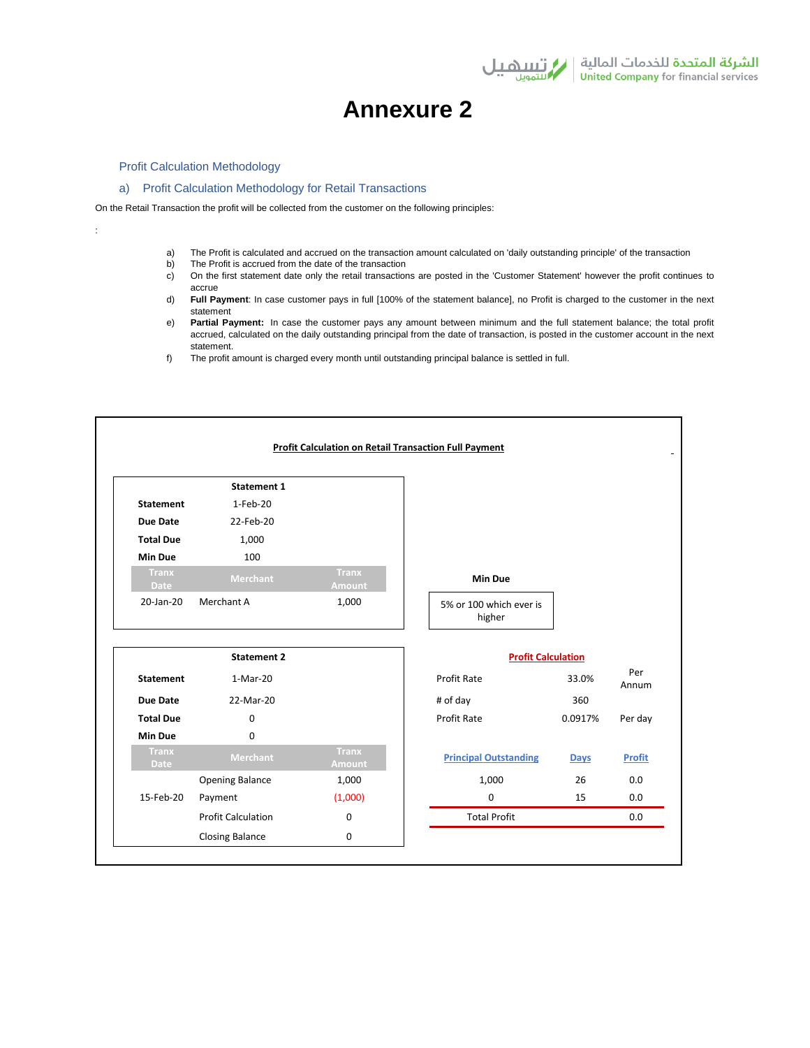

# **Annexure 2**

## Profit Calculation Methodology

:

## a) Profit Calculation Methodology for Retail Transactions

On the Retail Transaction the profit will be collected from the customer on the following principles:

- a) The Profit is calculated and accrued on the transaction amount calculated on 'daily outstanding principle' of the transaction
- b) The Profit is accrued from the date of the transaction
- c) On the first statement date only the retail transactions are posted in the 'Customer Statement' however the profit continues to accrue
- d) **Full Payment**: In case customer pays in full [100% of the statement balance], no Profit is charged to the customer in the next statement
- e) **Partial Payment:** In case the customer pays any amount between minimum and the full statement balance; the total profit accrued, calculated on the daily outstanding principal from the date of transaction, is posted in the customer account in the next statement.
- f) The profit amount is charged every month until outstanding principal balance is settled in full.

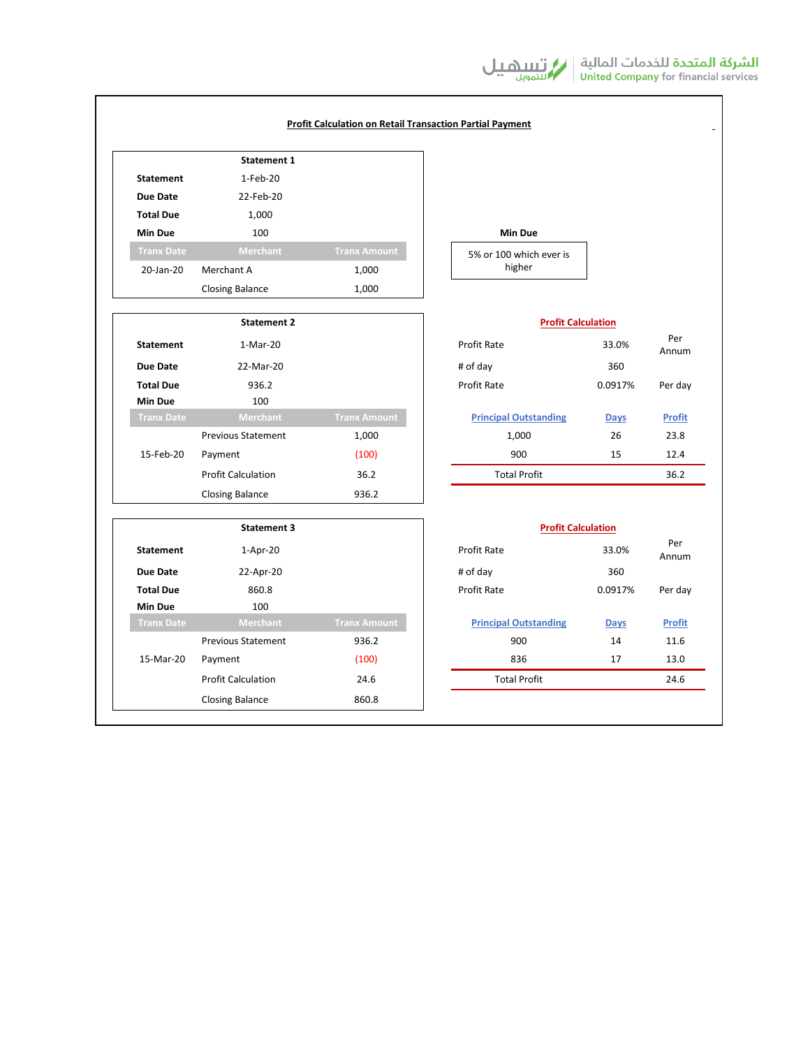|                   | <b>Statement 1</b>        |                     |                              |             |               |
|-------------------|---------------------------|---------------------|------------------------------|-------------|---------------|
| <b>Statement</b>  | $1-Feb-20$                |                     |                              |             |               |
| Due Date          | 22-Feb-20                 |                     |                              |             |               |
| <b>Total Due</b>  | 1,000                     |                     |                              |             |               |
| <b>Min Due</b>    | 100                       |                     | <b>Min Due</b>               |             |               |
| <b>Tranx Date</b> | <b>Merchant</b>           | <b>Tranx Amount</b> | 5% or 100 which ever is      |             |               |
| 20-Jan-20         | Merchant A                | 1,000               | higher                       |             |               |
|                   | <b>Closing Balance</b>    | 1,000               |                              |             |               |
|                   | <b>Statement 2</b>        |                     | <b>Profit Calculation</b>    |             |               |
| <b>Statement</b>  | 1-Mar-20                  |                     | <b>Profit Rate</b>           | 33.0%       | Per<br>Annum  |
| Due Date          | 22-Mar-20                 |                     | # of day                     | 360         |               |
| <b>Total Due</b>  | 936.2                     |                     | Profit Rate                  | 0.0917%     | Per day       |
| <b>Min Due</b>    | 100                       |                     |                              |             |               |
| <b>Tranx Date</b> | Merchant                  | <b>Tranx Amount</b> | <b>Principal Outstanding</b> | <b>Days</b> | <b>Profit</b> |
|                   | <b>Previous Statement</b> | 1,000               | 1,000                        | 26          | 23.8          |
| 15-Feb-20         | Payment                   | (100)               | 900                          | 15          | 12.4          |
|                   | <b>Profit Calculation</b> | 36.2                | <b>Total Profit</b>          |             | 36.2          |
|                   | <b>Closing Balance</b>    | 936.2               |                              |             |               |
|                   | <b>Statement 3</b>        |                     | <b>Profit Calculation</b>    |             |               |
| <b>Statement</b>  | 1-Apr-20                  |                     | Profit Rate                  | 33.0%       | Per<br>Annum  |
| Due Date          | 22-Apr-20                 |                     | # of day                     | 360         |               |
| <b>Total Due</b>  | 860.8                     |                     | Profit Rate                  | 0.0917%     | Per day       |
| <b>Min Due</b>    | 100                       |                     |                              |             |               |
| <b>Tranx Date</b> | Merchant                  | <b>Tranx Amount</b> | <b>Principal Outstanding</b> | <b>Days</b> | <b>Profit</b> |
|                   | <b>Previous Statement</b> | 936.2               | 900                          | 14          | 11.6          |
| 15-Mar-20         | Payment                   | (100)               | 836                          | 17          | 13.0          |
|                   | <b>Profit Calculation</b> | 24.6                | <b>Total Profit</b>          |             | 24.6          |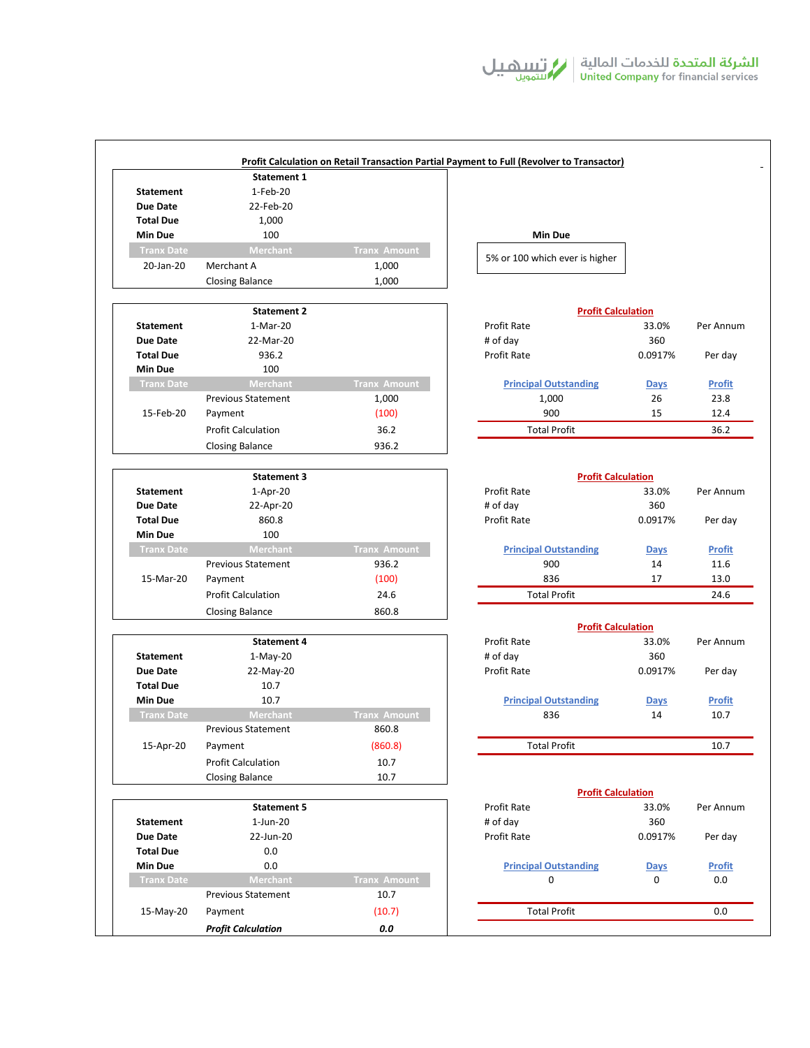|                   | Statement 1               |                     |                                          |              |               |  |
|-------------------|---------------------------|---------------------|------------------------------------------|--------------|---------------|--|
| <b>Statement</b>  | 1-Feb-20                  |                     |                                          |              |               |  |
| <b>Due Date</b>   | 22-Feb-20                 |                     |                                          |              |               |  |
| <b>Total Due</b>  | 1,000                     |                     |                                          |              |               |  |
| <b>Min Due</b>    | 100                       |                     | <b>Min Due</b>                           |              |               |  |
| <b>Tranx Date</b> | Merchant                  | <b>Tranx Amount</b> |                                          |              |               |  |
| 20-Jan-20         | Merchant A                | 1,000               | 5% or 100 which ever is higher           |              |               |  |
|                   | <b>Closing Balance</b>    | 1,000               |                                          |              |               |  |
|                   |                           |                     |                                          |              |               |  |
|                   | <b>Statement 2</b>        |                     | <b>Profit Calculation</b>                |              |               |  |
| <b>Statement</b>  | 1-Mar-20                  |                     | Profit Rate                              |              | Per Annum     |  |
| <b>Due Date</b>   | 22-Mar-20                 |                     | # of day                                 | 33.0%<br>360 |               |  |
| <b>Total Due</b>  | 936.2                     |                     | <b>Profit Rate</b>                       | 0.0917%      | Per day       |  |
| <b>Min Due</b>    | 100                       |                     |                                          |              |               |  |
| <b>Tranx Date</b> | Merchant                  | <b>Tranx Amount</b> | <b>Principal Outstanding</b>             | <b>Days</b>  | <b>Profit</b> |  |
|                   | <b>Previous Statement</b> | 1,000               | 1,000                                    | 26           | 23.8          |  |
| 15-Feb-20         | Payment                   | (100)               | 900                                      | 15           | 12.4          |  |
|                   | <b>Profit Calculation</b> | 36.2                | <b>Total Profit</b>                      |              | 36.2          |  |
|                   |                           |                     |                                          |              |               |  |
|                   | <b>Closing Balance</b>    | 936.2               |                                          |              |               |  |
|                   | <b>Statement 3</b>        |                     | <b>Profit Calculation</b>                |              |               |  |
| <b>Statement</b>  | 1-Apr-20                  |                     | Profit Rate                              |              | Per Annum     |  |
| <b>Due Date</b>   | 22-Apr-20                 |                     | # of day                                 | 360          |               |  |
| <b>Total Due</b>  | 860.8                     |                     | Profit Rate                              | 0.0917%      | Per day       |  |
| <b>Min Due</b>    | 100                       |                     |                                          |              |               |  |
| <b>Tranx Date</b> | Merchant                  | <b>Tranx Amount</b> | <b>Principal Outstanding</b>             | <b>Days</b>  | <b>Profit</b> |  |
|                   | <b>Previous Statement</b> | 936.2               | 900                                      | 14           | 11.6          |  |
| 15-Mar-20         | Payment                   | (100)               | 836                                      | 17           | 13.0          |  |
|                   | <b>Profit Calculation</b> | 24.6                | <b>Total Profit</b>                      |              | 24.6          |  |
|                   | <b>Closing Balance</b>    | 860.8               |                                          |              |               |  |
|                   |                           |                     | <b>Profit Calculation</b>                |              |               |  |
|                   | <b>Statement 4</b>        |                     | Profit Rate                              | 33.0%        | Per Annum     |  |
| <b>Statement</b>  | $1-May-20$                |                     | # of day                                 | 360          |               |  |
| <b>Due Date</b>   | 22-May-20                 |                     | Profit Rate                              | 0.0917%      | Per day       |  |
| <b>Total Due</b>  | 10.7                      |                     |                                          |              |               |  |
| <b>Min Due</b>    | 10.7                      |                     | <b>Principal Outstanding</b>             | <b>Days</b>  | <b>Profit</b> |  |
| <b>Tranx Date</b> | <b>Merchant</b>           | <b>Tranx Amount</b> | 836                                      | 14           | 10.7          |  |
|                   | <b>Previous Statement</b> | 860.8               |                                          |              |               |  |
| 15-Apr-20         | Payment                   | (860.8)             | <b>Total Profit</b>                      |              | 10.7          |  |
|                   |                           |                     |                                          |              |               |  |
|                   | <b>Profit Calculation</b> | 10.7                |                                          |              |               |  |
|                   | <b>Closing Balance</b>    | 10.7                |                                          |              |               |  |
|                   | <b>Statement 5</b>        |                     | <b>Profit Calculation</b><br>Profit Rate | 33.0%        | Per Annum     |  |
| <b>Statement</b>  | $1$ -Jun-20               |                     | # of day                                 | 360          |               |  |
| <b>Due Date</b>   | 22-Jun-20                 |                     | Profit Rate                              | 0.0917%      | Per day       |  |
| <b>Total Due</b>  | 0.0                       |                     |                                          |              |               |  |
|                   |                           |                     |                                          |              |               |  |
| <b>Min Due</b>    | 0.0                       |                     | <b>Principal Outstanding</b>             | <b>Days</b>  | <b>Profit</b> |  |
| <b>Tranx Date</b> | Merchant                  | <b>Tranx Amount</b> | 0                                        | 0            | 0.0           |  |
|                   | <b>Previous Statement</b> | 10.7                |                                          |              |               |  |
| 15-May-20         | Payment                   | (10.7)              | <b>Total Profit</b>                      |              | 0.0           |  |
|                   | <b>Profit Calculation</b> | $0.0\,$             |                                          |              |               |  |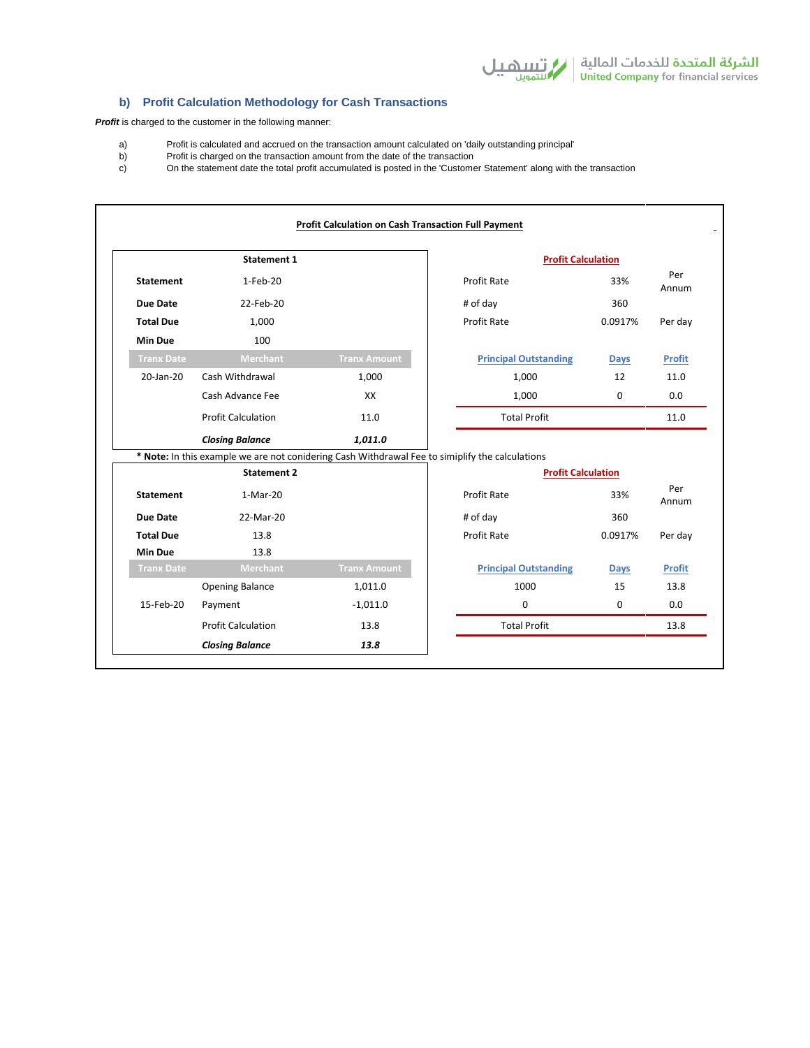# **b) Profit Calculation Methodology for Cash Transactions**

**Profit** is charged to the customer in the following manner:

- a) Profit is calculated and accrued on the transaction amount calculated on 'daily outstanding principal'
- b) Profit is charged on the transaction amount from the date of the transaction c) On the statement date the total profit accumulated is posted in the 'Custome
- c) On the statement date the total profit accumulated is posted in the 'Customer Statement' along with the transaction

|                   | <b>Statement 1</b>                                                                              |                     |                    | <b>Profit Calculation</b>    |              |               |  |
|-------------------|-------------------------------------------------------------------------------------------------|---------------------|--------------------|------------------------------|--------------|---------------|--|
| <b>Statement</b>  | 1-Feb-20                                                                                        |                     |                    | Profit Rate                  | 33%          | Per<br>Annum  |  |
| Due Date          | 22-Feb-20                                                                                       |                     |                    | # of day                     | 360          |               |  |
| <b>Total Due</b>  | 1,000                                                                                           |                     |                    | Profit Rate                  | 0.0917%      | Per day       |  |
| <b>Min Due</b>    | 100                                                                                             |                     |                    |                              |              |               |  |
| <b>Tranx Date</b> | <b>Merchant</b>                                                                                 | <b>Tranx Amount</b> |                    | <b>Principal Outstanding</b> | <b>Days</b>  | <b>Profit</b> |  |
| 20-Jan-20         | Cash Withdrawal                                                                                 | 1,000               |                    | 1,000                        | 12           | 11.0          |  |
|                   | Cash Advance Fee                                                                                | XX                  |                    | 1,000                        | $\Omega$     | 0.0           |  |
|                   | <b>Profit Calculation</b>                                                                       | 11.0                |                    | <b>Total Profit</b>          |              | 11.0          |  |
|                   | <b>Closing Balance</b>                                                                          | 1,011.0             |                    |                              |              |               |  |
|                   | * Note: In this example we are not conidering Cash Withdrawal Fee to simiplify the calculations |                     |                    |                              |              |               |  |
|                   | <b>Statement 2</b>                                                                              |                     |                    | <b>Profit Calculation</b>    |              |               |  |
| <b>Statement</b>  | 1-Mar-20                                                                                        |                     | Profit Rate<br>33% |                              | Per<br>Annum |               |  |
| <b>Due Date</b>   | 22-Mar-20                                                                                       |                     |                    | # of day                     | 360          |               |  |
| <b>Total Due</b>  | 13.8                                                                                            |                     |                    | Profit Rate                  | 0.0917%      | Per day       |  |
| <b>Min Due</b>    | 13.8                                                                                            |                     |                    |                              |              |               |  |
| <b>Tranx Date</b> | <b>Merchant</b>                                                                                 | <b>Tranx Amount</b> |                    | <b>Principal Outstanding</b> | <b>Days</b>  | <b>Profit</b> |  |
|                   | <b>Opening Balance</b>                                                                          | 1,011.0             |                    | 1000                         | 15           | 13.8          |  |
| 15-Feb-20         | Payment                                                                                         | $-1,011.0$          |                    | $\Omega$                     | $\Omega$     | 0.0           |  |
|                   | <b>Profit Calculation</b>                                                                       | 13.8                |                    | <b>Total Profit</b>          |              | 13.8          |  |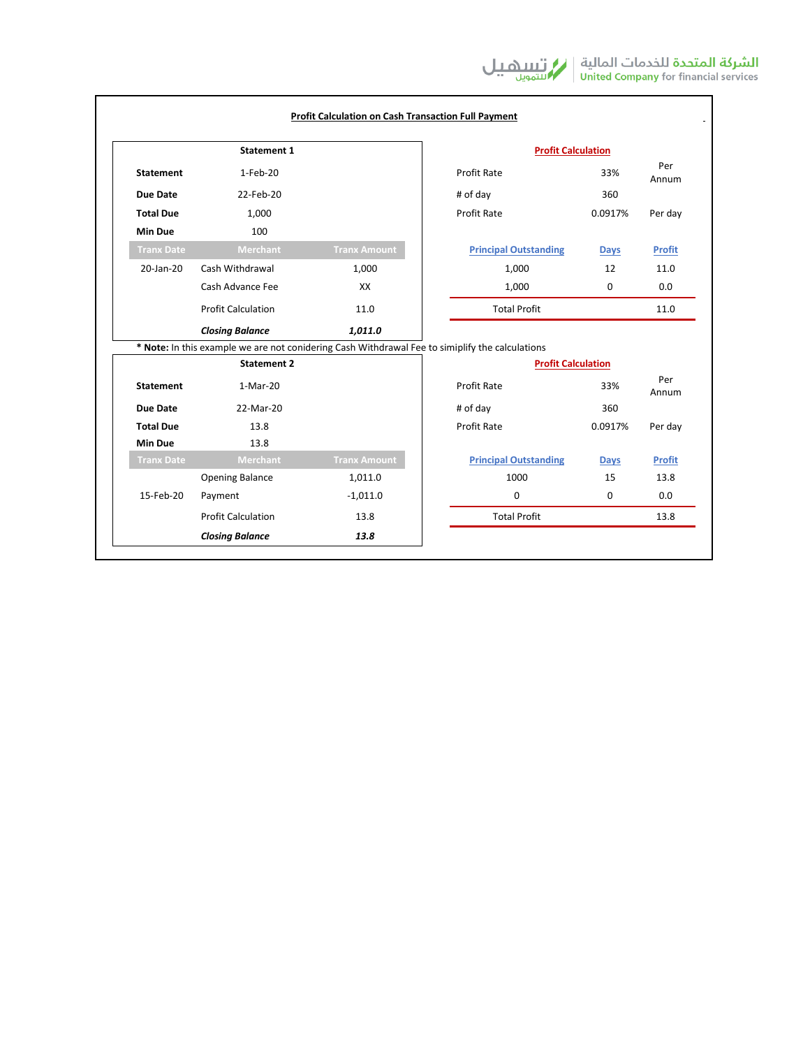| <b>Statement 1</b> |                                                                                                 |                     | <b>Profit Calculation</b> |                              |             |               |
|--------------------|-------------------------------------------------------------------------------------------------|---------------------|---------------------------|------------------------------|-------------|---------------|
| <b>Statement</b>   | 1-Feb-20                                                                                        |                     |                           | Profit Rate                  | 33%         | Per<br>Annum  |
| <b>Due Date</b>    | 22-Feb-20                                                                                       |                     | # of day                  |                              | 360         |               |
| <b>Total Due</b>   | 1,000                                                                                           |                     |                           | Profit Rate                  | 0.0917%     | Per day       |
| <b>Min Due</b>     | 100                                                                                             |                     |                           |                              |             |               |
| <b>Tranx Date</b>  | <b>Merchant</b>                                                                                 | <b>Tranx Amount</b> |                           | <b>Principal Outstanding</b> | <b>Days</b> | <b>Profit</b> |
| 20-Jan-20          | Cash Withdrawal                                                                                 | 1,000               | 1,000                     |                              | 12          | 11.0          |
|                    | Cash Advance Fee                                                                                | XX                  |                           | 1,000                        | 0           | 0.0           |
|                    | <b>Profit Calculation</b>                                                                       | 11.0                |                           | <b>Total Profit</b>          |             | 11.0          |
|                    | <b>Closing Balance</b>                                                                          | 1,011.0             |                           |                              |             |               |
|                    | * Note: In this example we are not conidering Cash Withdrawal Fee to simiplify the calculations |                     |                           |                              |             |               |
|                    | <b>Statement 2</b>                                                                              |                     | <b>Profit Calculation</b> |                              |             |               |
| <b>Statement</b>   | 1-Mar-20                                                                                        |                     | <b>Profit Rate</b><br>33% |                              |             | Per<br>Annum  |
| <b>Due Date</b>    | 22-Mar-20                                                                                       |                     | # of day<br>360           |                              |             |               |
| <b>Total Due</b>   | 13.8                                                                                            |                     |                           | <b>Profit Rate</b>           | 0.0917%     | Per day       |
| <b>Min Due</b>     | 13.8                                                                                            |                     |                           |                              |             |               |
| <b>Tranx Date</b>  | Merchant                                                                                        | <b>Tranx Amount</b> |                           | <b>Principal Outstanding</b> | <b>Days</b> | <b>Profit</b> |
|                    | <b>Opening Balance</b>                                                                          | 1,011.0             |                           | 1000                         | 15          | 13.8          |
| 15-Feb-20          | Payment                                                                                         | $-1,011.0$          |                           | $\Omega$                     | $\Omega$    | 0.0           |
|                    | <b>Profit Calculation</b>                                                                       | 13.8                |                           | <b>Total Profit</b>          |             | 13.8          |